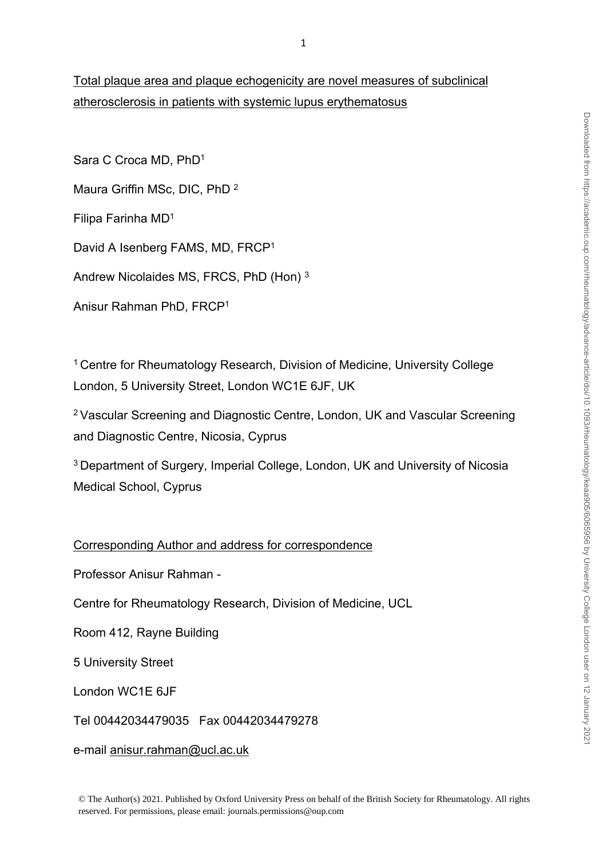# Total plaque area and plaque echogenicity are novel measures of subclinical atherosclerosis in patients with systemic lupus erythematosus

Sara C Croca MD, PhD<sup>1</sup> Maura Griffin MSc, DIC, PhD <sup>2</sup> Filipa Farinha MD<sup>1</sup> David A Isenberg FAMS, MD, FRCP<sup>1</sup> Andrew Nicolaides MS, FRCS, PhD (Hon) <sup>3</sup>

Anisur Rahman PhD, FRCP<sup>1</sup>

<sup>1</sup> Centre for Rheumatology Research, Division of Medicine, University College London, 5 University Street, London WC1E 6JF, UK

<sup>2</sup>Vascular Screening and Diagnostic Centre, London, UK and Vascular Screening and Diagnostic Centre, Nicosia, Cyprus

<sup>3</sup>Department of Surgery, Imperial College, London, UK and University of Nicosia Medical School, Cyprus

Corresponding Author and address for correspondence

Professor Anisur Rahman -

Centre for Rheumatology Research, Division of Medicine, UCL

Room 412, Rayne Building

5 University Street

London WC1E 6JF

Tel 00442034479035 Fax 00442034479278

e-mail [anisur.rahman@ucl.ac.uk](mailto:anisur.rahman@ucl.ac.uk)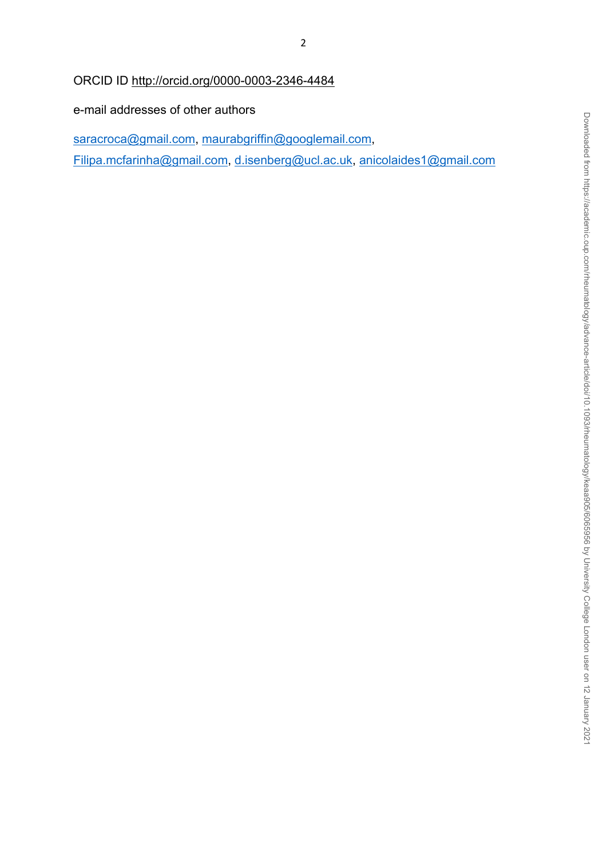ORCID ID<http://orcid.org/0000-0003-2346-4484>

e-mail addresses of other authors

[saracroca@gmail.com,](mailto:saracroca@gmail.com) [maurabgriffin@googlemail.com](mailto:maurabgriffin@googlemail.com), [Filipa.mcfarinha@gmail.com,](mailto:Filipa.mcfarinha@gmail.com) [d.isenberg@ucl.ac.uk,](mailto:d.isenberg@ucl.ac.uk) [anicolaides1@gmail.com](mailto:anicolaides1@gmail.com)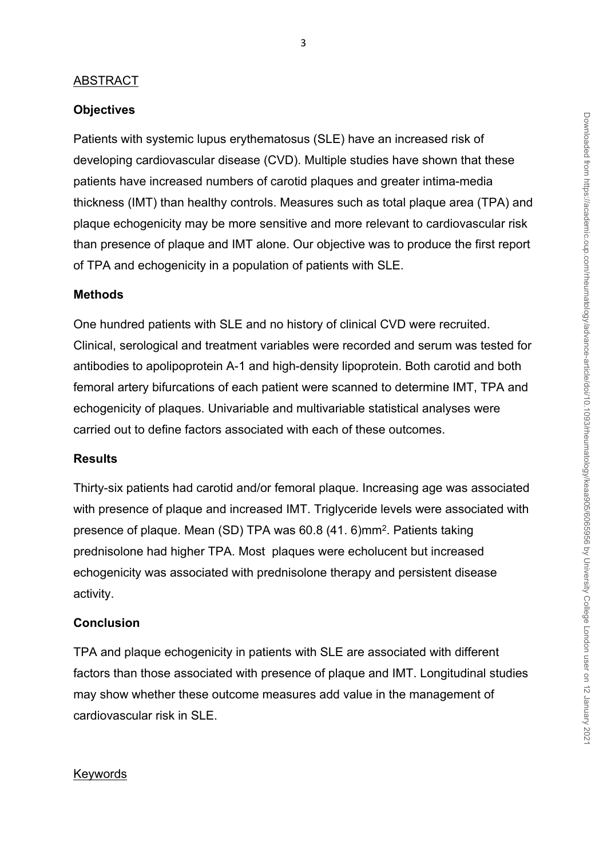#### ABSTRACT

#### **Objectives**

Patients with systemic lupus erythematosus (SLE) have an increased risk of developing cardiovascular disease (CVD). Multiple studies have shown that these patients have increased numbers of carotid plaques and greater intima-media thickness (IMT) than healthy controls. Measures such as total plaque area (TPA) and plaque echogenicity may be more sensitive and more relevant to cardiovascular risk than presence of plaque and IMT alone. Our objective was to produce the first report of TPA and echogenicity in a population of patients with SLE.

#### **Methods**

One hundred patients with SLE and no history of clinical CVD were recruited. Clinical, serological and treatment variables were recorded and serum was tested for antibodies to apolipoprotein A-1 and high-density lipoprotein. Both carotid and both femoral artery bifurcations of each patient were scanned to determine IMT, TPA and echogenicity of plaques. Univariable and multivariable statistical analyses were carried out to define factors associated with each of these outcomes.

#### **Results**

Thirty-six patients had carotid and/or femoral plaque. Increasing age was associated with presence of plaque and increased IMT. Triglyceride levels were associated with presence of plaque. Mean (SD) TPA was 60.8 (41. 6)mm<sup>2</sup>. Patients taking prednisolone had higher TPA. Most plaques were echolucent but increased echogenicity was associated with prednisolone therapy and persistent disease activity.

### **Conclusion**

TPA and plaque echogenicity in patients with SLE are associated with different factors than those associated with presence of plaque and IMT. Longitudinal studies may show whether these outcome measures add value in the management of cardiovascular risk in SLE.

#### Keywords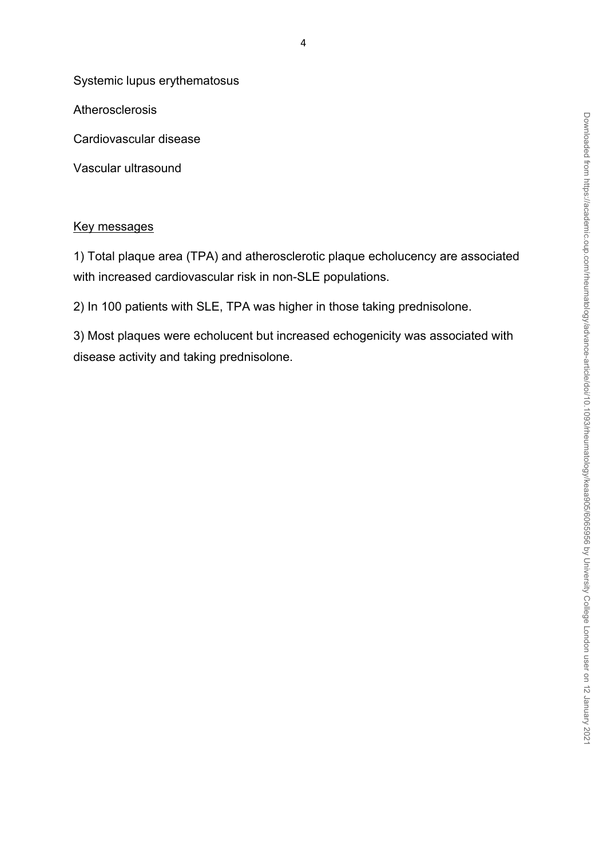Downloaded from https://academic.oup.com/rheumatology/advance-article/doi/10.1093/rheumatology/keaa905/6065956 by University College London user on 12 January 2021 Downloaded from https://academic.oup.com/rheumatology/advance-article/doi/10.1093/rheumatology/keaa905/6065956 by University College London user on 12 January 2021

Systemic lupus erythematosus

Atherosclerosis

Cardiovascular disease

Vascular ultrasound

# Key messages

1) Total plaque area (TPA) and atherosclerotic plaque echolucency are associated with increased cardiovascular risk in non-SLE populations.

2) In 100 patients with SLE, TPA was higher in those taking prednisolone.

3) Most plaques were echolucent but increased echogenicity was associated with disease activity and taking prednisolone.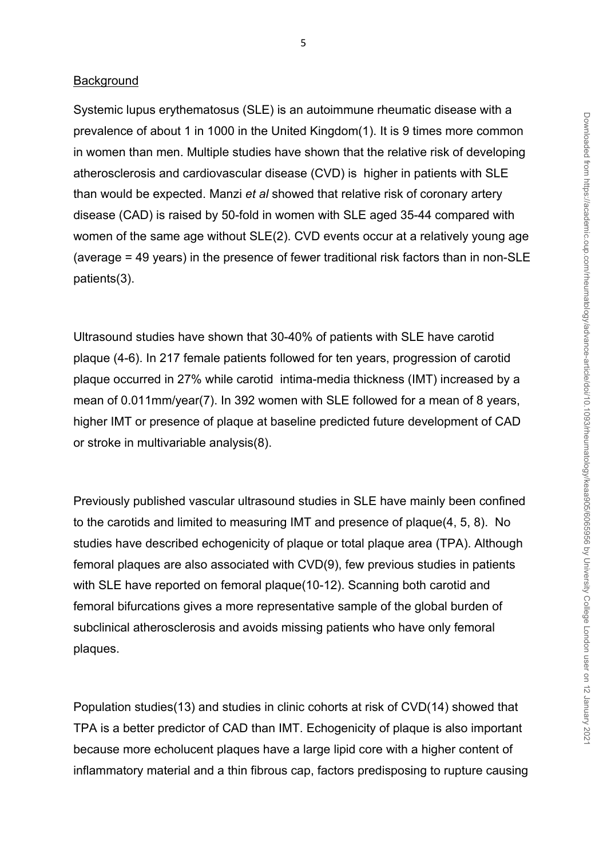#### **Background**

Systemic lupus erythematosus (SLE) is an autoimmune rheumatic disease with a prevalence of about 1 in 1000 in the United Kingdom(1). It is 9 times more common in women than men. Multiple studies have shown that the relative risk of developing atherosclerosis and cardiovascular disease (CVD) is higher in patients with SLE than would be expected. Manzi *et al* showed that relative risk of coronary artery disease (CAD) is raised by 50-fold in women with SLE aged 35-44 compared with women of the same age without SLE(2). CVD events occur at a relatively young age (average = 49 years) in the presence of fewer traditional risk factors than in non-SLE patients(3).

Ultrasound studies have shown that 30-40% of patients with SLE have carotid plaque (4-6). In 217 female patients followed for ten years, progression of carotid plaque occurred in 27% while carotid intima-media thickness (IMT) increased by a mean of 0.011mm/year(7). In 392 women with SLE followed for a mean of 8 years, higher IMT or presence of plaque at baseline predicted future development of CAD or stroke in multivariable analysis(8).

Previously published vascular ultrasound studies in SLE have mainly been confined to the carotids and limited to measuring IMT and presence of plaque(4, 5, 8). No studies have described echogenicity of plaque or total plaque area (TPA). Although femoral plaques are also associated with CVD(9), few previous studies in patients with SLE have reported on femoral plaque(10-12). Scanning both carotid and femoral bifurcations gives a more representative sample of the global burden of subclinical atherosclerosis and avoids missing patients who have only femoral plaques.

Population studies(13) and studies in clinic cohorts at risk of CVD(14) showed that TPA is a better predictor of CAD than IMT. Echogenicity of plaque is also important because more echolucent plaques have a large lipid core with a higher content of inflammatory material and a thin fibrous cap, factors predisposing to rupture causing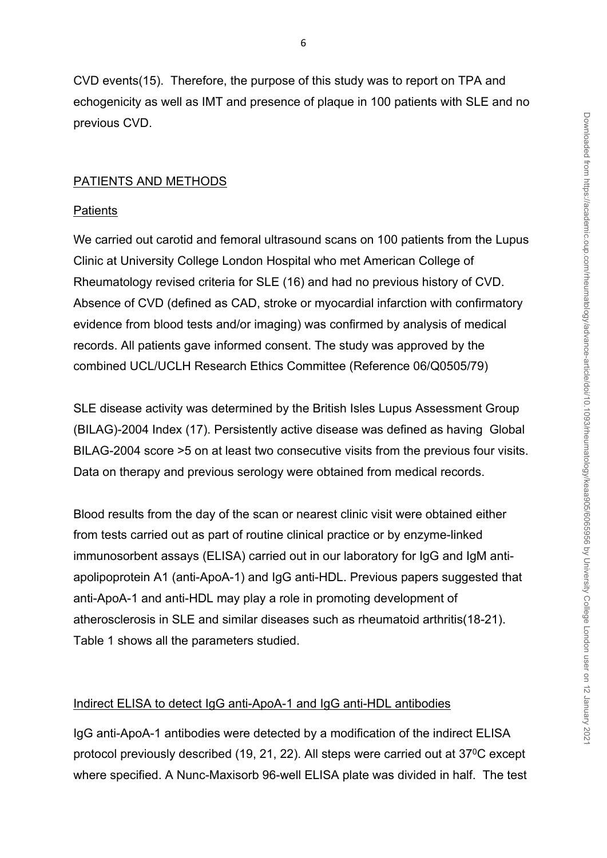CVD events(15). Therefore, the purpose of this study was to report on TPA and echogenicity as well as IMT and presence of plaque in 100 patients with SLE and no previous CVD.

# PATIENTS AND METHODS

## **Patients**

We carried out carotid and femoral ultrasound scans on 100 patients from the Lupus Clinic at University College London Hospital who met American College of Rheumatology revised criteria for SLE (16) and had no previous history of CVD. Absence of CVD (defined as CAD, stroke or myocardial infarction with confirmatory evidence from blood tests and/or imaging) was confirmed by analysis of medical records. All patients gave informed consent. The study was approved by the combined UCL/UCLH Research Ethics Committee (Reference 06/Q0505/79)

SLE disease activity was determined by the British Isles Lupus Assessment Group (BILAG)-2004 Index (17). Persistently active disease was defined as having Global BILAG-2004 score >5 on at least two consecutive visits from the previous four visits. Data on therapy and previous serology were obtained from medical records.

Blood results from the day of the scan or nearest clinic visit were obtained either from tests carried out as part of routine clinical practice or by enzyme-linked immunosorbent assays (ELISA) carried out in our laboratory for IgG and IgM antiapolipoprotein A1 (anti-ApoA-1) and IgG anti-HDL. Previous papers suggested that anti-ApoA-1 and anti-HDL may play a role in promoting development of atherosclerosis in SLE and similar diseases such as rheumatoid arthritis(18-21). Table 1 shows all the parameters studied.

## Indirect ELISA to detect IgG anti-ApoA-1 and IgG anti-HDL antibodies

IgG anti-ApoA-1 antibodies were detected by a modification of the indirect ELISA protocol previously described (19, 21, 22). All steps were carried out at 37<sup>0</sup>C except where specified. A Nunc-Maxisorb 96-well ELISA plate was divided in half. The test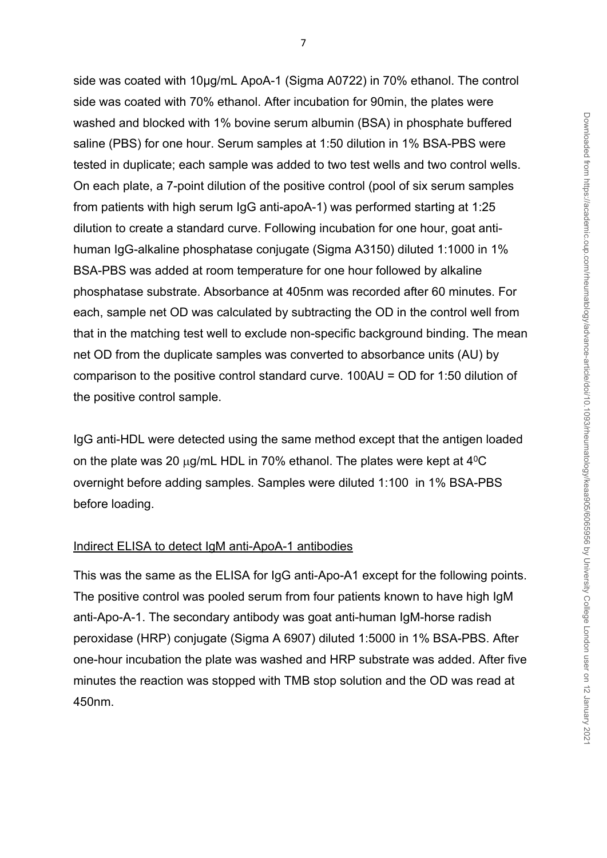side was coated with 10µg/mL ApoA-1 (Sigma A0722) in 70% ethanol. The control side was coated with 70% ethanol. After incubation for 90min, the plates were washed and blocked with 1% bovine serum albumin (BSA) in phosphate buffered saline (PBS) for one hour. Serum samples at 1:50 dilution in 1% BSA-PBS were tested in duplicate; each sample was added to two test wells and two control wells. On each plate, a 7-point dilution of the positive control (pool of six serum samples from patients with high serum IgG anti-apoA-1) was performed starting at 1:25 dilution to create a standard curve. Following incubation for one hour, goat antihuman IgG-alkaline phosphatase conjugate (Sigma A3150) diluted 1:1000 in 1% BSA-PBS was added at room temperature for one hour followed by alkaline phosphatase substrate. Absorbance at 405nm was recorded after 60 minutes. For each, sample net OD was calculated by subtracting the OD in the control well from that in the matching test well to exclude non-specific background binding. The mean net OD from the duplicate samples was converted to absorbance units (AU) by comparison to the positive control standard curve. 100AU = OD for 1:50 dilution of the positive control sample.

IgG anti-HDL were detected using the same method except that the antigen loaded on the plate was 20  $\mu$ g/mL HDL in 70% ethanol. The plates were kept at 4<sup>0</sup>C overnight before adding samples. Samples were diluted 1:100 in 1% BSA-PBS before loading.

# Indirect ELISA to detect IgM anti-ApoA-1 antibodies

This was the same as the ELISA for IgG anti-Apo-A1 except for the following points. The positive control was pooled serum from four patients known to have high IgM anti-Apo-A-1. The secondary antibody was goat anti-human IgM-horse radish peroxidase (HRP) conjugate (Sigma A 6907) diluted 1:5000 in 1% BSA-PBS. After one-hour incubation the plate was washed and HRP substrate was added. After five minutes the reaction was stopped with TMB stop solution and the OD was read at 450nm.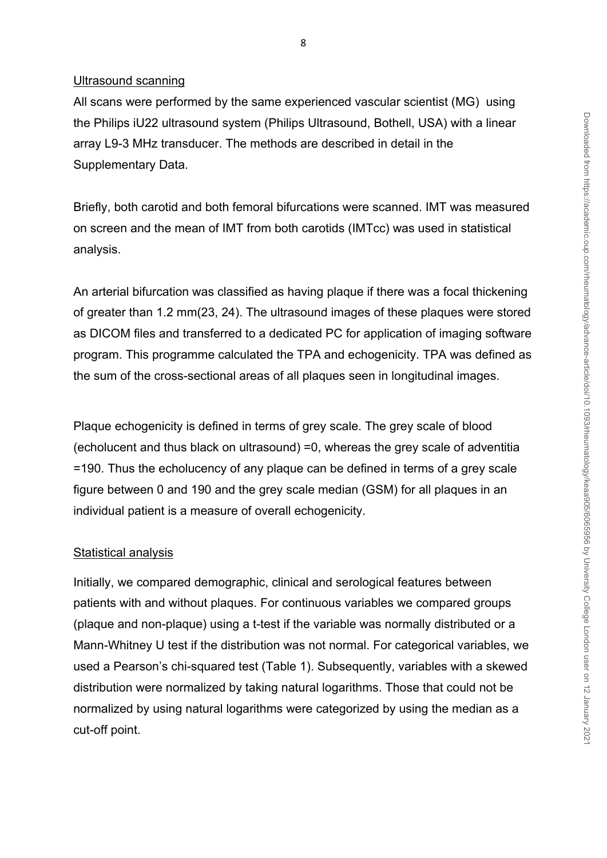#### Ultrasound scanning

All scans were performed by the same experienced vascular scientist (MG) using the Philips iU22 ultrasound system (Philips Ultrasound, Bothell, USA) with a linear array L9-3 MHz transducer. The methods are described in detail in the Supplementary Data.

Briefly, both carotid and both femoral bifurcations were scanned. IMT was measured on screen and the mean of IMT from both carotids (IMTcc) was used in statistical analysis.

An arterial bifurcation was classified as having plaque if there was a focal thickening of greater than 1.2 mm(23, 24). The ultrasound images of these plaques were stored as DICOM files and transferred to a dedicated PC for application of imaging software program. This programme calculated the TPA and echogenicity. TPA was defined as the sum of the cross-sectional areas of all plaques seen in longitudinal images.

Plaque echogenicity is defined in terms of grey scale. The grey scale of blood (echolucent and thus black on ultrasound) =0, whereas the grey scale of adventitia =190. Thus the echolucency of any plaque can be defined in terms of a grey scale figure between 0 and 190 and the grey scale median (GSM) for all plaques in an individual patient is a measure of overall echogenicity.

#### Statistical analysis

Initially, we compared demographic, clinical and serological features between patients with and without plaques. For continuous variables we compared groups (plaque and non-plaque) using a t-test if the variable was normally distributed or a Mann-Whitney U test if the distribution was not normal. For categorical variables, we used a Pearson's chi-squared test (Table 1). Subsequently, variables with a skewed distribution were normalized by taking natural logarithms. Those that could not be normalized by using natural logarithms were categorized by using the median as a cut-off point.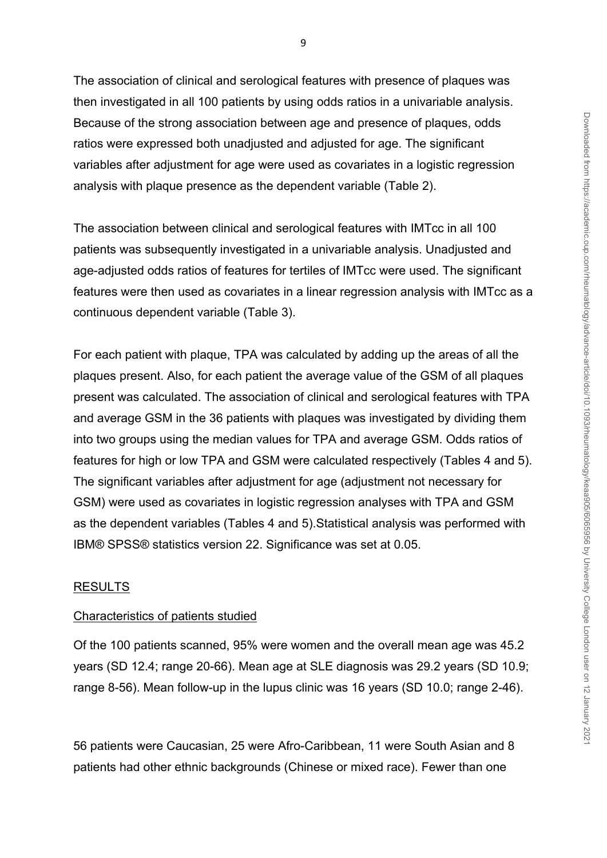The association of clinical and serological features with presence of plaques was then investigated in all 100 patients by using odds ratios in a univariable analysis. Because of the strong association between age and presence of plaques, odds ratios were expressed both unadjusted and adjusted for age. The significant variables after adjustment for age were used as covariates in a logistic regression analysis with plaque presence as the dependent variable (Table 2).

The association between clinical and serological features with IMTcc in all 100 patients was subsequently investigated in a univariable analysis. Unadjusted and age-adjusted odds ratios of features for tertiles of IMTcc were used. The significant features were then used as covariates in a linear regression analysis with IMTcc as a continuous dependent variable (Table 3).

For each patient with plaque, TPA was calculated by adding up the areas of all the plaques present. Also, for each patient the average value of the GSM of all plaques present was calculated. The association of clinical and serological features with TPA and average GSM in the 36 patients with plaques was investigated by dividing them into two groups using the median values for TPA and average GSM. Odds ratios of features for high or low TPA and GSM were calculated respectively (Tables 4 and 5). The significant variables after adjustment for age (adjustment not necessary for GSM) were used as covariates in logistic regression analyses with TPA and GSM as the dependent variables (Tables 4 and 5).Statistical analysis was performed with IBM® SPSS® statistics version 22. Significance was set at 0.05.

## RESULTS

## Characteristics of patients studied

Of the 100 patients scanned, 95% were women and the overall mean age was 45.2 years (SD 12.4; range 20-66). Mean age at SLE diagnosis was 29.2 years (SD 10.9; range 8-56). Mean follow-up in the lupus clinic was 16 years (SD 10.0; range 2-46).

56 patients were Caucasian, 25 were Afro-Caribbean, 11 were South Asian and 8 patients had other ethnic backgrounds (Chinese or mixed race). Fewer than one

9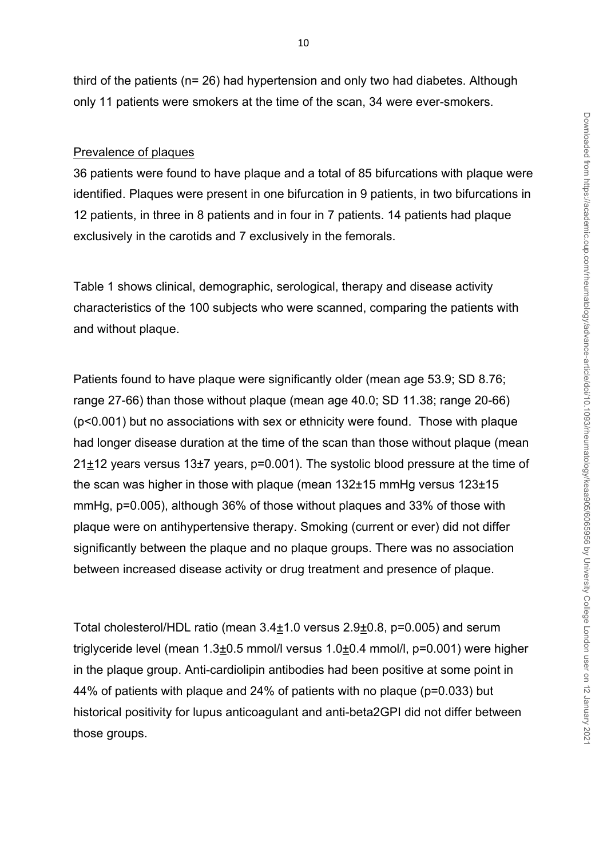third of the patients (n= 26) had hypertension and only two had diabetes. Although only 11 patients were smokers at the time of the scan, 34 were ever-smokers.

#### Prevalence of plaques

36 patients were found to have plaque and a total of 85 bifurcations with plaque were identified. Plaques were present in one bifurcation in 9 patients, in two bifurcations in 12 patients, in three in 8 patients and in four in 7 patients. 14 patients had plaque exclusively in the carotids and 7 exclusively in the femorals.

Table 1 shows clinical, demographic, serological, therapy and disease activity characteristics of the 100 subjects who were scanned, comparing the patients with and without plaque.

Patients found to have plaque were significantly older (mean age 53.9; SD 8.76; range 27-66) than those without plaque (mean age 40.0; SD 11.38; range 20-66) (p<0.001) but no associations with sex or ethnicity were found. Those with plaque had longer disease duration at the time of the scan than those without plaque (mean 21±12 years versus 13±7 years, p=0.001). The systolic blood pressure at the time of the scan was higher in those with plaque (mean 132±15 mmHg versus 123±15 mmHg, p=0.005), although 36% of those without plaques and 33% of those with plaque were on antihypertensive therapy. Smoking (current or ever) did not differ significantly between the plaque and no plaque groups. There was no association between increased disease activity or drug treatment and presence of plaque.

Total cholesterol/HDL ratio (mean 3.4±1.0 versus 2.9±0.8, p=0.005) and serum triglyceride level (mean 1.3±0.5 mmol/l versus 1.0±0.4 mmol/l, p=0.001) were higher in the plaque group. Anti-cardiolipin antibodies had been positive at some point in 44% of patients with plaque and 24% of patients with no plaque (p=0.033) but historical positivity for lupus anticoagulant and anti-beta2GPI did not differ between those groups.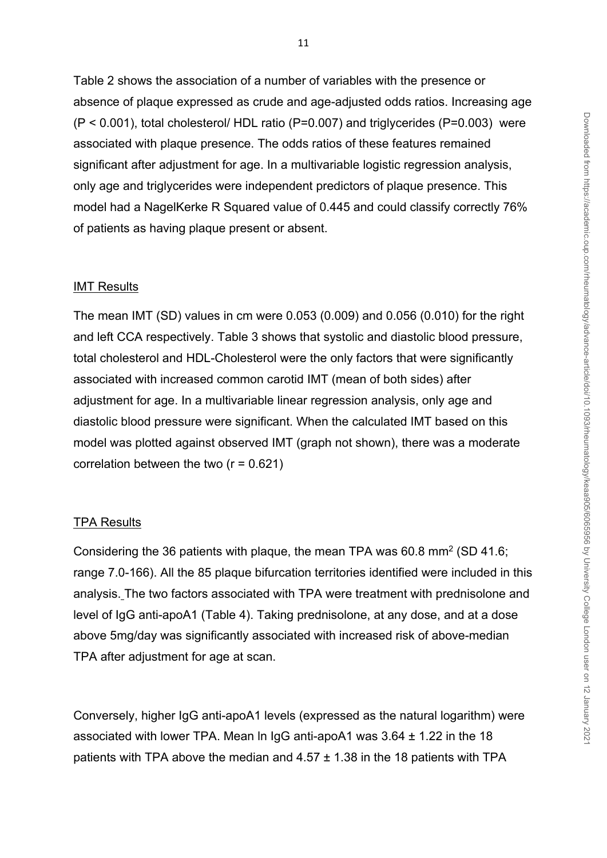Table 2 shows the association of a number of variables with the presence or absence of plaque expressed as crude and age-adjusted odds ratios. Increasing age (P < 0.001), total cholesterol/ HDL ratio (P=0.007) and triglycerides (P=0.003) were associated with plaque presence. The odds ratios of these features remained significant after adjustment for age. In a multivariable logistic regression analysis, only age and triglycerides were independent predictors of plaque presence. This model had a NagelKerke R Squared value of 0.445 and could classify correctly 76% of patients as having plaque present or absent.

#### IMT Results

The mean IMT (SD) values in cm were 0.053 (0.009) and 0.056 (0.010) for the right and left CCA respectively. Table 3 shows that systolic and diastolic blood pressure, total cholesterol and HDL-Cholesterol were the only factors that were significantly associated with increased common carotid IMT (mean of both sides) after adjustment for age. In a multivariable linear regression analysis, only age and diastolic blood pressure were significant. When the calculated IMT based on this model was plotted against observed IMT (graph not shown), there was a moderate correlation between the two  $(r = 0.621)$ 

#### TPA Results

Considering the 36 patients with plaque, the mean TPA was 60.8 mm<sup>2</sup> (SD 41.6; range 7.0-166). All the 85 plaque bifurcation territories identified were included in this analysis. The two factors associated with TPA were treatment with prednisolone and level of IgG anti-apoA1 (Table 4). Taking prednisolone, at any dose, and at a dose above 5mg/day was significantly associated with increased risk of above-median TPA after adjustment for age at scan.

Conversely, higher IgG anti-apoA1 levels (expressed as the natural logarithm) were associated with lower TPA. Mean ln IgG anti-apoA1 was 3.64 ± 1.22 in the 18 patients with TPA above the median and  $4.57 \pm 1.38$  in the 18 patients with TPA

11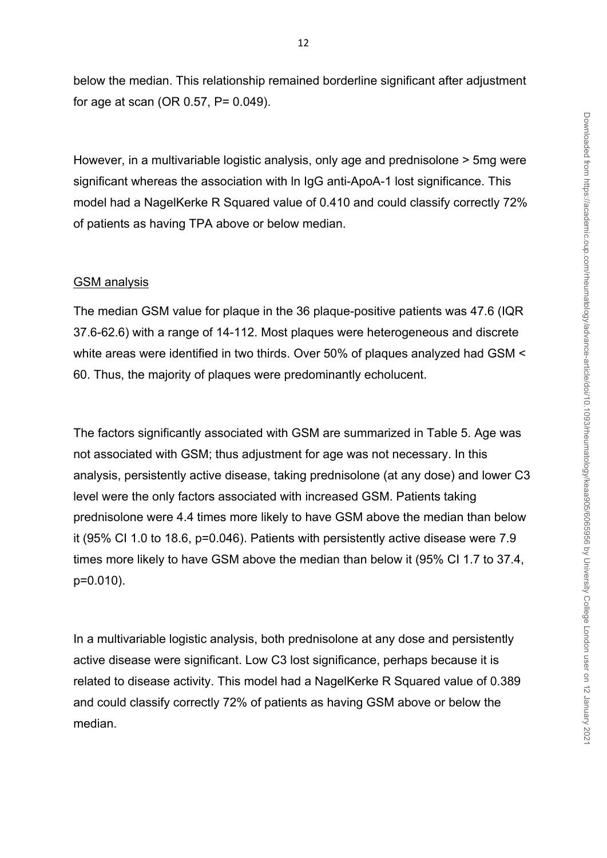below the median. This relationship remained borderline significant after adjustment for age at scan (OR 0.57, P= 0.049).

However, in a multivariable logistic analysis, only age and prednisolone > 5mg were significant whereas the association with ln IgG anti-ApoA-1 lost significance. This model had a NagelKerke R Squared value of 0.410 and could classify correctly 72% of patients as having TPA above or below median.

#### GSM analysis

The median GSM value for plaque in the 36 plaque-positive patients was 47.6 (IQR 37.6-62.6) with a range of 14-112. Most plaques were heterogeneous and discrete white areas were identified in two thirds. Over 50% of plaques analyzed had GSM < 60. Thus, the majority of plaques were predominantly echolucent.

The factors significantly associated with GSM are summarized in Table 5. Age was not associated with GSM; thus adjustment for age was not necessary. In this analysis, persistently active disease, taking prednisolone (at any dose) and lower C3 level were the only factors associated with increased GSM. Patients taking prednisolone were 4.4 times more likely to have GSM above the median than below it (95% CI 1.0 to 18.6, p=0.046). Patients with persistently active disease were 7.9 times more likely to have GSM above the median than below it (95% CI 1.7 to 37.4, p=0.010).

In a multivariable logistic analysis, both prednisolone at any dose and persistently active disease were significant. Low C3 lost significance, perhaps because it is related to disease activity. This model had a NagelKerke R Squared value of 0.389 and could classify correctly 72% of patients as having GSM above or below the median.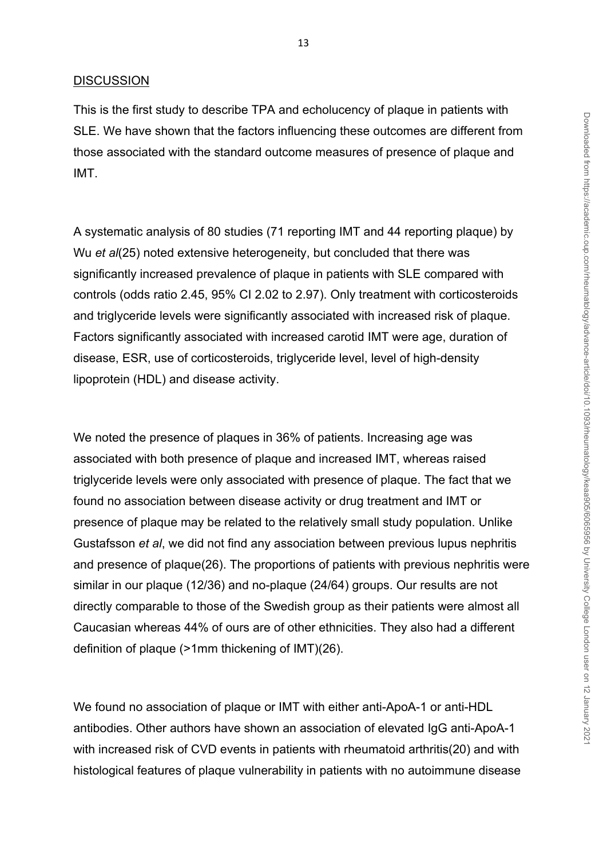#### **DISCUSSION**

This is the first study to describe TPA and echolucency of plaque in patients with SLE. We have shown that the factors influencing these outcomes are different from those associated with the standard outcome measures of presence of plaque and IMT.

A systematic analysis of 80 studies (71 reporting IMT and 44 reporting plaque) by Wu *et al*(25) noted extensive heterogeneity, but concluded that there was significantly increased prevalence of plaque in patients with SLE compared with controls (odds ratio 2.45, 95% CI 2.02 to 2.97). Only treatment with corticosteroids and triglyceride levels were significantly associated with increased risk of plaque. Factors significantly associated with increased carotid IMT were age, duration of disease, ESR, use of corticosteroids, triglyceride level, level of high-density lipoprotein (HDL) and disease activity.

We noted the presence of plaques in 36% of patients. Increasing age was associated with both presence of plaque and increased IMT, whereas raised triglyceride levels were only associated with presence of plaque. The fact that we found no association between disease activity or drug treatment and IMT or presence of plaque may be related to the relatively small study population. Unlike Gustafsson *et al*, we did not find any association between previous lupus nephritis and presence of plaque(26). The proportions of patients with previous nephritis were similar in our plaque (12/36) and no-plaque (24/64) groups. Our results are not directly comparable to those of the Swedish group as their patients were almost all Caucasian whereas 44% of ours are of other ethnicities. They also had a different definition of plaque (>1mm thickening of IMT)(26).

We found no association of plaque or IMT with either anti-ApoA-1 or anti-HDL antibodies. Other authors have shown an association of elevated IgG anti-ApoA-1 with increased risk of CVD events in patients with rheumatoid arthritis(20) and with histological features of plaque vulnerability in patients with no autoimmune disease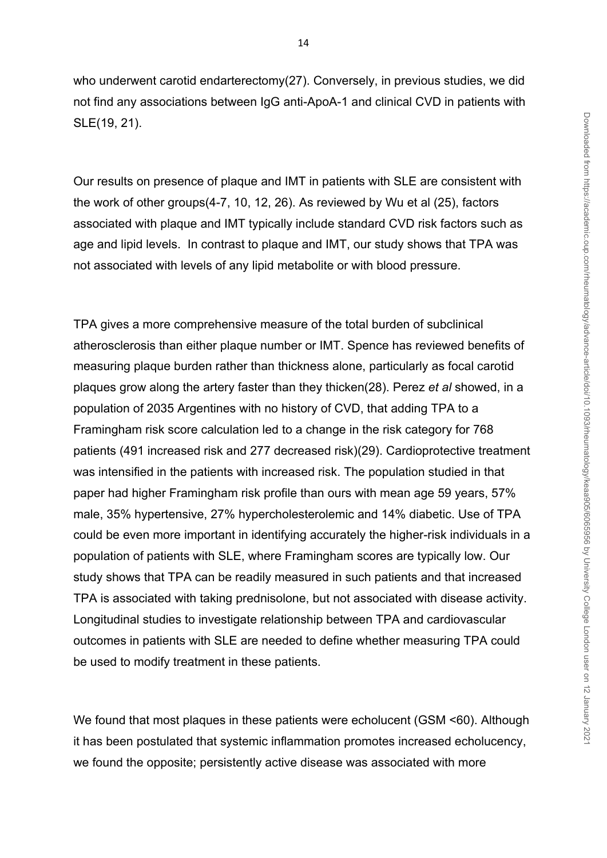who underwent carotid endarterectomy(27). Conversely, in previous studies, we did not find any associations between IgG anti-ApoA-1 and clinical CVD in patients with SLE(19, 21).

Our results on presence of plaque and IMT in patients with SLE are consistent with the work of other groups(4-7, 10, 12, 26). As reviewed by Wu et al (25), factors associated with plaque and IMT typically include standard CVD risk factors such as age and lipid levels. In contrast to plaque and IMT, our study shows that TPA was not associated with levels of any lipid metabolite or with blood pressure.

TPA gives a more comprehensive measure of the total burden of subclinical atherosclerosis than either plaque number or IMT. Spence has reviewed benefits of measuring plaque burden rather than thickness alone, particularly as focal carotid plaques grow along the artery faster than they thicken(28). Perez *et al* showed, in a population of 2035 Argentines with no history of CVD, that adding TPA to a Framingham risk score calculation led to a change in the risk category for 768 patients (491 increased risk and 277 decreased risk)(29). Cardioprotective treatment was intensified in the patients with increased risk. The population studied in that paper had higher Framingham risk profile than ours with mean age 59 years, 57% male, 35% hypertensive, 27% hypercholesterolemic and 14% diabetic. Use of TPA could be even more important in identifying accurately the higher-risk individuals in a population of patients with SLE, where Framingham scores are typically low. Our study shows that TPA can be readily measured in such patients and that increased TPA is associated with taking prednisolone, but not associated with disease activity. Longitudinal studies to investigate relationship between TPA and cardiovascular outcomes in patients with SLE are needed to define whether measuring TPA could be used to modify treatment in these patients.

We found that most plaques in these patients were echolucent (GSM <60). Although it has been postulated that systemic inflammation promotes increased echolucency, we found the opposite; persistently active disease was associated with more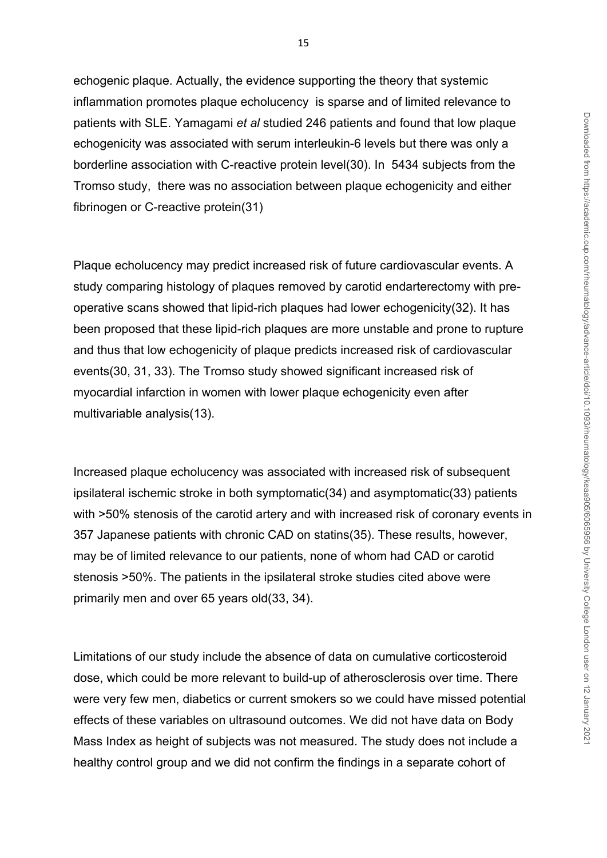echogenic plaque. Actually, the evidence supporting the theory that systemic inflammation promotes plaque echolucency is sparse and of limited relevance to patients with SLE. Yamagami *et al* studied 246 patients and found that low plaque echogenicity was associated with serum interleukin-6 levels but there was only a borderline association with C-reactive protein level(30). In 5434 subjects from the Tromso study, there was no association between plaque echogenicity and either fibrinogen or C-reactive protein(31)

Plaque echolucency may predict increased risk of future cardiovascular events. A study comparing histology of plaques removed by carotid endarterectomy with preoperative scans showed that lipid-rich plaques had lower echogenicity(32). It has been proposed that these lipid-rich plaques are more unstable and prone to rupture and thus that low echogenicity of plaque predicts increased risk of cardiovascular events(30, 31, 33). The Tromso study showed significant increased risk of myocardial infarction in women with lower plaque echogenicity even after multivariable analysis(13).

Increased plaque echolucency was associated with increased risk of subsequent ipsilateral ischemic stroke in both symptomatic(34) and asymptomatic(33) patients with  $>50\%$  stenosis of the carotid artery and with increased risk of coronary events in 357 Japanese patients with chronic CAD on statins(35). These results, however, may be of limited relevance to our patients, none of whom had CAD or carotid stenosis >50%. The patients in the ipsilateral stroke studies cited above were primarily men and over 65 years old(33, 34).

Limitations of our study include the absence of data on cumulative corticosteroid dose, which could be more relevant to build-up of atherosclerosis over time. There were very few men, diabetics or current smokers so we could have missed potential effects of these variables on ultrasound outcomes. We did not have data on Body Mass Index as height of subjects was not measured. The study does not include a healthy control group and we did not confirm the findings in a separate cohort of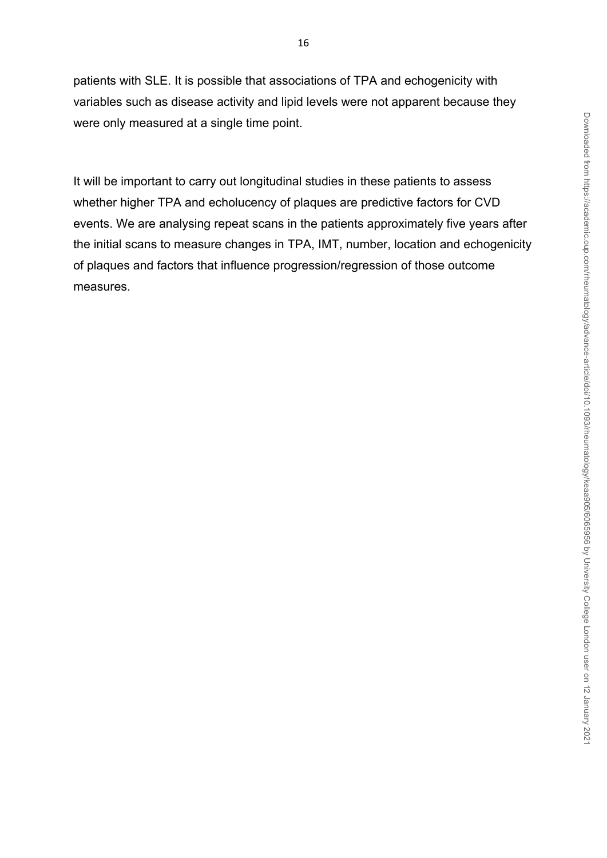patients with SLE. It is possible that associations of TPA and echogenicity with variables such as disease activity and lipid levels were not apparent because they were only measured at a single time point.

It will be important to carry out longitudinal studies in these patients to assess whether higher TPA and echolucency of plaques are predictive factors for CVD events. We are analysing repeat scans in the patients approximately five years after the initial scans to measure changes in TPA, IMT, number, location and echogenicity of plaques and factors that influence progression/regression of those outcome measures.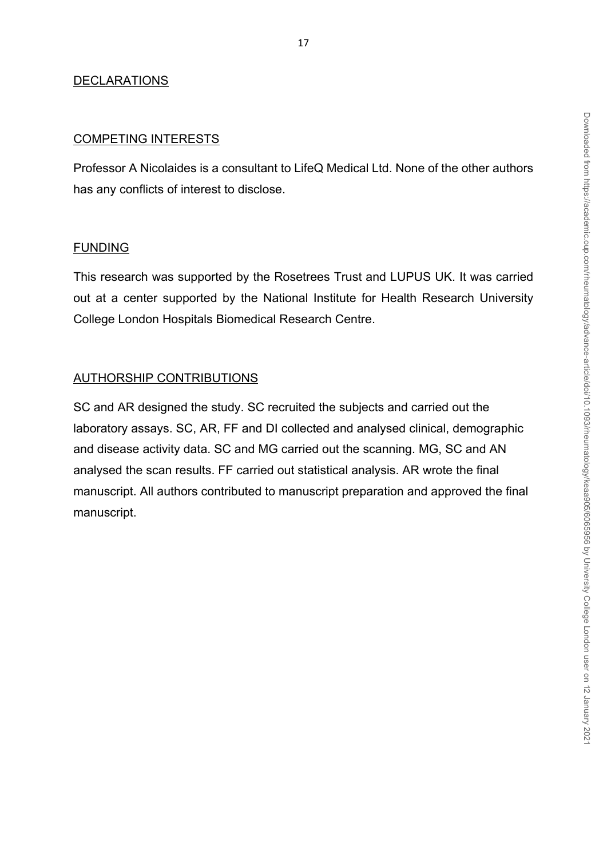# DECLARATIONS

### COMPETING INTERESTS

Professor A Nicolaides is a consultant to LifeQ Medical Ltd. None of the other authors has any conflicts of interest to disclose.

### FUNDING

This research was supported by the Rosetrees Trust and LUPUS UK. It was carried out at a center supported by the National Institute for Health Research University College London Hospitals Biomedical Research Centre.

## AUTHORSHIP CONTRIBUTIONS

SC and AR designed the study. SC recruited the subjects and carried out the laboratory assays. SC, AR, FF and DI collected and analysed clinical, demographic and disease activity data. SC and MG carried out the scanning. MG, SC and AN analysed the scan results. FF carried out statistical analysis. AR wrote the final manuscript. All authors contributed to manuscript preparation and approved the final manuscript.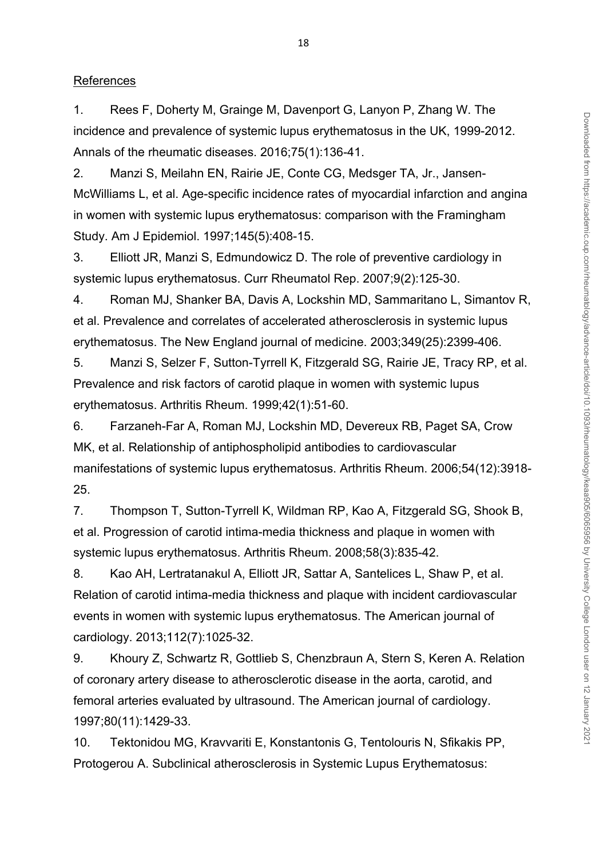#### References

1. Rees F, Doherty M, Grainge M, Davenport G, Lanyon P, Zhang W. The incidence and prevalence of systemic lupus erythematosus in the UK, 1999-2012. Annals of the rheumatic diseases. 2016;75(1):136-41.

2. Manzi S, Meilahn EN, Rairie JE, Conte CG, Medsger TA, Jr., Jansen-McWilliams L, et al. Age-specific incidence rates of myocardial infarction and angina in women with systemic lupus erythematosus: comparison with the Framingham Study. Am J Epidemiol. 1997;145(5):408-15.

3. Elliott JR, Manzi S, Edmundowicz D. The role of preventive cardiology in systemic lupus erythematosus. Curr Rheumatol Rep. 2007;9(2):125-30.

4. Roman MJ, Shanker BA, Davis A, Lockshin MD, Sammaritano L, Simantov R, et al. Prevalence and correlates of accelerated atherosclerosis in systemic lupus erythematosus. The New England journal of medicine. 2003;349(25):2399-406.

5. Manzi S, Selzer F, Sutton-Tyrrell K, Fitzgerald SG, Rairie JE, Tracy RP, et al. Prevalence and risk factors of carotid plaque in women with systemic lupus erythematosus. Arthritis Rheum. 1999;42(1):51-60.

6. Farzaneh-Far A, Roman MJ, Lockshin MD, Devereux RB, Paget SA, Crow MK, et al. Relationship of antiphospholipid antibodies to cardiovascular manifestations of systemic lupus erythematosus. Arthritis Rheum. 2006;54(12):3918- 25.

7. Thompson T, Sutton-Tyrrell K, Wildman RP, Kao A, Fitzgerald SG, Shook B, et al. Progression of carotid intima-media thickness and plaque in women with systemic lupus erythematosus. Arthritis Rheum. 2008;58(3):835-42.

8. Kao AH, Lertratanakul A, Elliott JR, Sattar A, Santelices L, Shaw P, et al. Relation of carotid intima-media thickness and plaque with incident cardiovascular events in women with systemic lupus erythematosus. The American journal of cardiology. 2013;112(7):1025-32.

9. Khoury Z, Schwartz R, Gottlieb S, Chenzbraun A, Stern S, Keren A. Relation of coronary artery disease to atherosclerotic disease in the aorta, carotid, and femoral arteries evaluated by ultrasound. The American journal of cardiology. 1997;80(11):1429-33.

10. Tektonidou MG, Kravvariti E, Konstantonis G, Tentolouris N, Sfikakis PP, Protogerou A. Subclinical atherosclerosis in Systemic Lupus Erythematosus: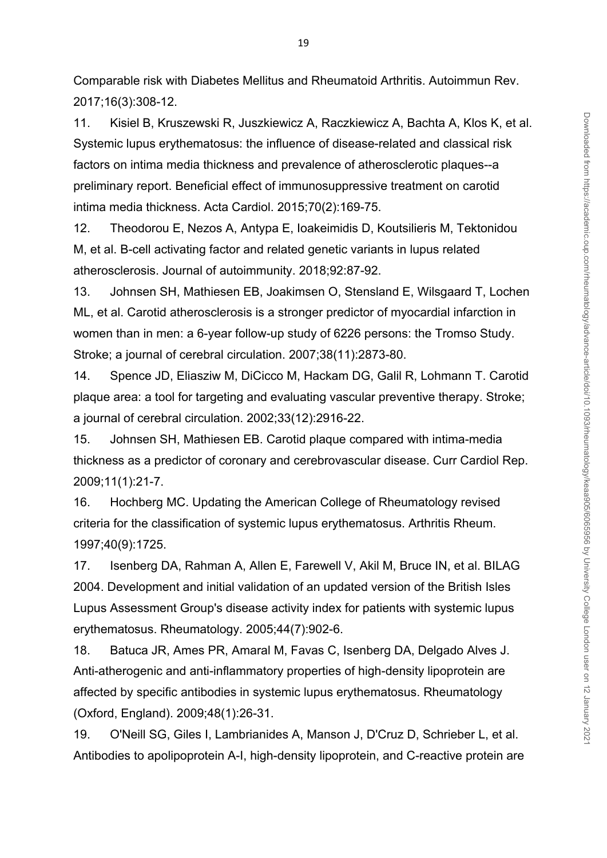Comparable risk with Diabetes Mellitus and Rheumatoid Arthritis. Autoimmun Rev. 2017;16(3):308-12.

11. Kisiel B, Kruszewski R, Juszkiewicz A, Raczkiewicz A, Bachta A, Klos K, et al. Systemic lupus erythematosus: the influence of disease-related and classical risk factors on intima media thickness and prevalence of atherosclerotic plaques--a preliminary report. Beneficial effect of immunosuppressive treatment on carotid intima media thickness. Acta Cardiol. 2015;70(2):169-75.

12. Theodorou E, Nezos A, Antypa E, Ioakeimidis D, Koutsilieris M, Tektonidou M, et al. B-cell activating factor and related genetic variants in lupus related atherosclerosis. Journal of autoimmunity. 2018;92:87-92.

13. Johnsen SH, Mathiesen EB, Joakimsen O, Stensland E, Wilsgaard T, Lochen ML, et al. Carotid atherosclerosis is a stronger predictor of myocardial infarction in women than in men: a 6-year follow-up study of 6226 persons: the Tromso Study. Stroke; a journal of cerebral circulation. 2007;38(11):2873-80.

14. Spence JD, Eliasziw M, DiCicco M, Hackam DG, Galil R, Lohmann T. Carotid plaque area: a tool for targeting and evaluating vascular preventive therapy. Stroke; a journal of cerebral circulation. 2002;33(12):2916-22.

15. Johnsen SH, Mathiesen EB. Carotid plaque compared with intima-media thickness as a predictor of coronary and cerebrovascular disease. Curr Cardiol Rep. 2009;11(1):21-7.

16. Hochberg MC. Updating the American College of Rheumatology revised criteria for the classification of systemic lupus erythematosus. Arthritis Rheum. 1997;40(9):1725.

17. Isenberg DA, Rahman A, Allen E, Farewell V, Akil M, Bruce IN, et al. BILAG 2004. Development and initial validation of an updated version of the British Isles Lupus Assessment Group's disease activity index for patients with systemic lupus erythematosus. Rheumatology. 2005;44(7):902-6.

18. Batuca JR, Ames PR, Amaral M, Favas C, Isenberg DA, Delgado Alves J. Anti-atherogenic and anti-inflammatory properties of high-density lipoprotein are affected by specific antibodies in systemic lupus erythematosus. Rheumatology (Oxford, England). 2009;48(1):26-31.

19. O'Neill SG, Giles I, Lambrianides A, Manson J, D'Cruz D, Schrieber L, et al. Antibodies to apolipoprotein A-I, high-density lipoprotein, and C-reactive protein are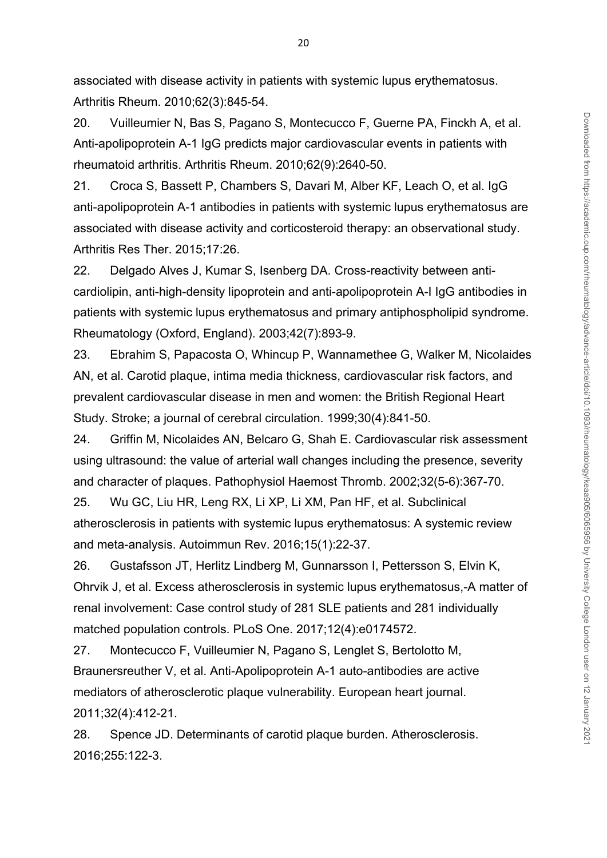associated with disease activity in patients with systemic lupus erythematosus. Arthritis Rheum. 2010;62(3):845-54.

20. Vuilleumier N, Bas S, Pagano S, Montecucco F, Guerne PA, Finckh A, et al. Anti-apolipoprotein A-1 IgG predicts major cardiovascular events in patients with rheumatoid arthritis. Arthritis Rheum. 2010;62(9):2640-50.

21. Croca S, Bassett P, Chambers S, Davari M, Alber KF, Leach O, et al. IgG anti-apolipoprotein A-1 antibodies in patients with systemic lupus erythematosus are associated with disease activity and corticosteroid therapy: an observational study. Arthritis Res Ther. 2015;17:26.

22. Delgado Alves J, Kumar S, Isenberg DA. Cross-reactivity between anticardiolipin, anti-high-density lipoprotein and anti-apolipoprotein A-I IgG antibodies in patients with systemic lupus erythematosus and primary antiphospholipid syndrome. Rheumatology (Oxford, England). 2003;42(7):893-9.

23. Ebrahim S, Papacosta O, Whincup P, Wannamethee G, Walker M, Nicolaides AN, et al. Carotid plaque, intima media thickness, cardiovascular risk factors, and prevalent cardiovascular disease in men and women: the British Regional Heart Study. Stroke; a journal of cerebral circulation. 1999;30(4):841-50.

24. Griffin M, Nicolaides AN, Belcaro G, Shah E. Cardiovascular risk assessment using ultrasound: the value of arterial wall changes including the presence, severity and character of plaques. Pathophysiol Haemost Thromb. 2002;32(5-6):367-70.

25. Wu GC, Liu HR, Leng RX, Li XP, Li XM, Pan HF, et al. Subclinical atherosclerosis in patients with systemic lupus erythematosus: A systemic review and meta-analysis. Autoimmun Rev. 2016;15(1):22-37.

26. Gustafsson JT, Herlitz Lindberg M, Gunnarsson I, Pettersson S, Elvin K, Ohrvik J, et al. Excess atherosclerosis in systemic lupus erythematosus,-A matter of renal involvement: Case control study of 281 SLE patients and 281 individually matched population controls. PLoS One. 2017;12(4):e0174572.

27. Montecucco F, Vuilleumier N, Pagano S, Lenglet S, Bertolotto M, Braunersreuther V, et al. Anti-Apolipoprotein A-1 auto-antibodies are active mediators of atherosclerotic plaque vulnerability. European heart journal. 2011;32(4):412-21.

28. Spence JD. Determinants of carotid plaque burden. Atherosclerosis. 2016;255:122-3.

20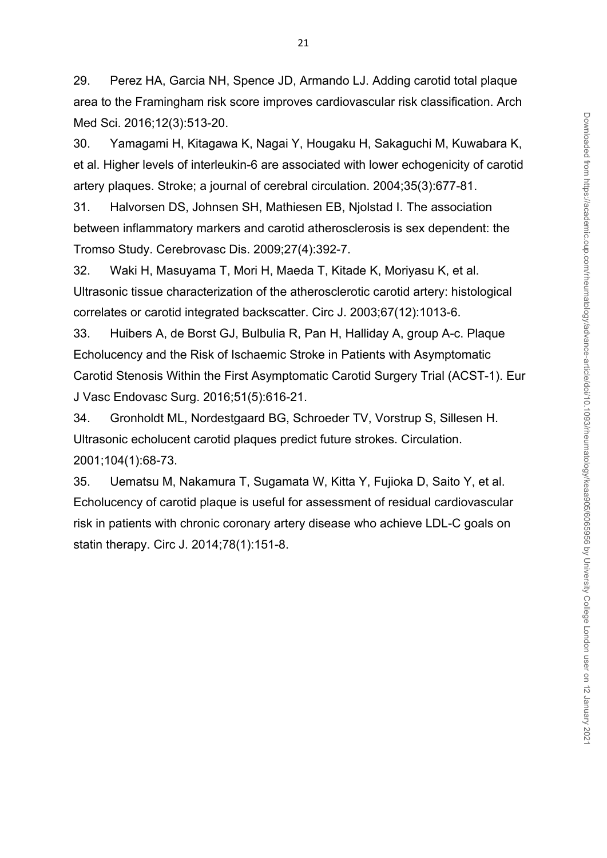29. Perez HA, Garcia NH, Spence JD, Armando LJ. Adding carotid total plaque area to the Framingham risk score improves cardiovascular risk classification. Arch Med Sci. 2016;12(3):513-20.

30. Yamagami H, Kitagawa K, Nagai Y, Hougaku H, Sakaguchi M, Kuwabara K, et al. Higher levels of interleukin-6 are associated with lower echogenicity of carotid artery plaques. Stroke; a journal of cerebral circulation. 2004;35(3):677-81.

31. Halvorsen DS, Johnsen SH, Mathiesen EB, Njolstad I. The association between inflammatory markers and carotid atherosclerosis is sex dependent: the Tromso Study. Cerebrovasc Dis. 2009;27(4):392-7.

32. Waki H, Masuyama T, Mori H, Maeda T, Kitade K, Moriyasu K, et al. Ultrasonic tissue characterization of the atherosclerotic carotid artery: histological correlates or carotid integrated backscatter. Circ J. 2003;67(12):1013-6.

33. Huibers A, de Borst GJ, Bulbulia R, Pan H, Halliday A, group A-c. Plaque Echolucency and the Risk of Ischaemic Stroke in Patients with Asymptomatic Carotid Stenosis Within the First Asymptomatic Carotid Surgery Trial (ACST-1). Eur J Vasc Endovasc Surg. 2016;51(5):616-21.

34. Gronholdt ML, Nordestgaard BG, Schroeder TV, Vorstrup S, Sillesen H. Ultrasonic echolucent carotid plaques predict future strokes. Circulation. 2001;104(1):68-73.

35. Uematsu M, Nakamura T, Sugamata W, Kitta Y, Fujioka D, Saito Y, et al. Echolucency of carotid plaque is useful for assessment of residual cardiovascular risk in patients with chronic coronary artery disease who achieve LDL-C goals on statin therapy. Circ J. 2014;78(1):151-8.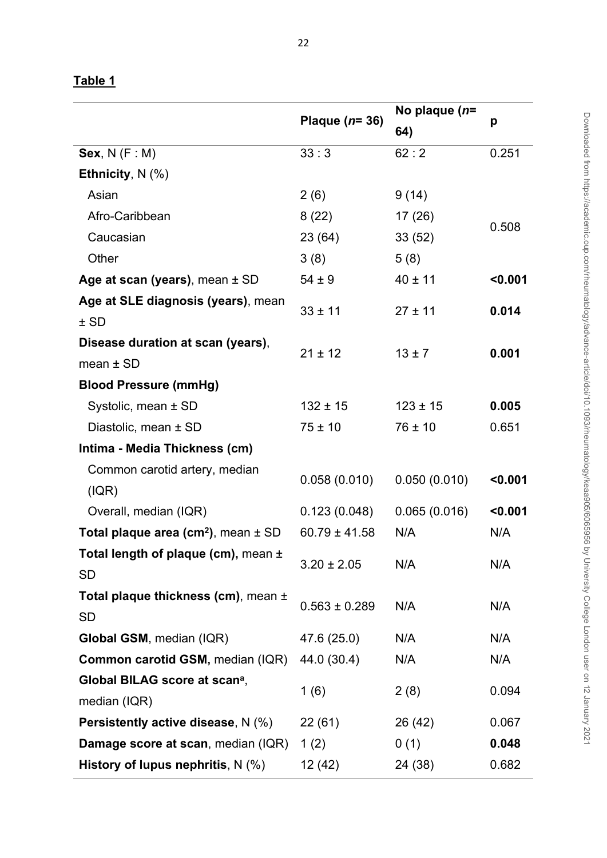# **Table 1**

|                                                     |                   | No plaque (n= |         |
|-----------------------------------------------------|-------------------|---------------|---------|
|                                                     | Plaque $(n=36)$   | 64)           | p       |
| Sex, $N(F : M)$                                     | 33:3              | 62:2          | 0.251   |
| Ethnicity, $N$ (%)                                  |                   |               |         |
| Asian                                               | 2(6)              | 9(14)         |         |
| Afro-Caribbean                                      | 8(22)             | 17(26)        | 0.508   |
| Caucasian                                           | 23 (64)           | 33(52)        |         |
| Other                                               | 3(8)              | 5(8)          |         |
| Age at scan (years), mean $\pm$ SD                  | $54 \pm 9$        | $40 \pm 11$   | < 0.001 |
| Age at SLE diagnosis (years), mean                  | $33 \pm 11$       | $27 \pm 11$   | 0.014   |
| $±$ SD                                              |                   |               |         |
| Disease duration at scan (years),                   | $21 \pm 12$       | $13 \pm 7$    | 0.001   |
| mean $\pm$ SD                                       |                   |               |         |
| <b>Blood Pressure (mmHg)</b>                        |                   |               |         |
| Systolic, mean ± SD                                 | $132 \pm 15$      | $123 \pm 15$  | 0.005   |
| Diastolic, mean ± SD                                | $75 \pm 10$       | $76 \pm 10$   | 0.651   |
| Intima - Media Thickness (cm)                       |                   |               |         |
| Common carotid artery, median                       | 0.058(0.010)      | 0.050(0.010)  | < 0.001 |
| ( IQR)                                              |                   |               |         |
| Overall, median (IQR)                               | 0.123(0.048)      | 0.065(0.016)  | < 0.001 |
| Total plaque area (cm <sup>2</sup> ), mean $\pm$ SD | $60.79 \pm 41.58$ | N/A           | N/A     |
| Total length of plaque (cm), mean $\pm$             | $3.20 \pm 2.05$   | N/A           | N/A     |
| <b>SD</b>                                           |                   |               |         |
| Total plaque thickness (cm), mean $\pm$             | $0.563 \pm 0.289$ | N/A           | N/A     |
| <b>SD</b>                                           |                   |               |         |
| Global GSM, median (IQR)                            | 47.6 (25.0)       | N/A           | N/A     |
| <b>Common carotid GSM, median (IQR)</b>             | 44.0 (30.4)       | N/A           | N/A     |
| Global BILAG score at scan <sup>a</sup> ,           | 1(6)              |               | 0.094   |
| median (IQR)                                        |                   | 2(8)          |         |
| <b>Persistently active disease, N (%)</b>           | 22(61)            | 26 (42)       | 0.067   |
| Damage score at scan, median (IQR)                  | 1(2)              | 0(1)          | 0.048   |
| History of lupus nephritis, $N$ (%)                 | 12 (42)           | 24 (38)       | 0.682   |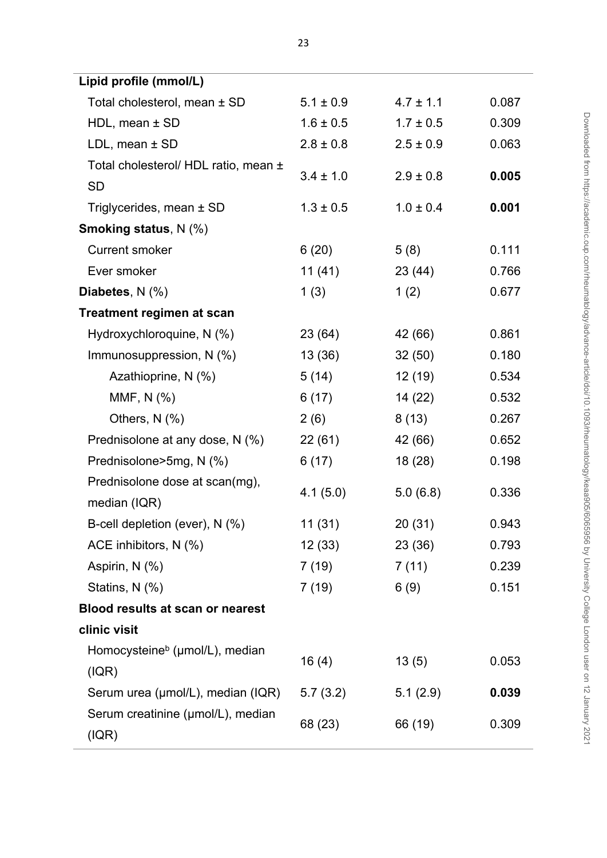| Lipid profile (mmol/L)                      |               |               |       |
|---------------------------------------------|---------------|---------------|-------|
| Total cholesterol, mean ± SD                | $5.1 \pm 0.9$ | $4.7 \pm 1.1$ | 0.087 |
| $HDL$ , mean $±$ SD                         | $1.6 \pm 0.5$ | $1.7 \pm 0.5$ | 0.309 |
| $LDL$ , mean $\pm$ SD                       | $2.8 \pm 0.8$ | $2.5 \pm 0.9$ | 0.063 |
| Total cholesterol/ HDL ratio, mean ±        | $3.4 \pm 1.0$ | $2.9 \pm 0.8$ | 0.005 |
| <b>SD</b>                                   |               |               |       |
| Triglycerides, mean $\pm$ SD                | $1.3 \pm 0.5$ | $1.0 \pm 0.4$ | 0.001 |
| <b>Smoking status, N (%)</b>                |               |               |       |
| <b>Current smoker</b>                       | 6(20)         | 5(8)          | 0.111 |
| Ever smoker                                 | 11(41)        | 23 (44)       | 0.766 |
| Diabetes, N (%)                             | 1(3)          | 1(2)          | 0.677 |
| <b>Treatment regimen at scan</b>            |               |               |       |
| Hydroxychloroquine, N (%)                   | 23 (64)       | 42 (66)       | 0.861 |
| Immunosuppression, N (%)                    | 13(36)        | 32(50)        | 0.180 |
| Azathioprine, N (%)                         | 5(14)         | 12(19)        | 0.534 |
| MMF, N (%)                                  | 6(17)         | 14(22)        | 0.532 |
| Others, $N$ $(\%)$                          | 2(6)          | 8(13)         | 0.267 |
| Prednisolone at any dose, N (%)             | 22(61)        | 42 (66)       | 0.652 |
| Prednisolone>5mg, N (%)                     | 6(17)         | 18(28)        | 0.198 |
| Prednisolone dose at scan(mg),              | 4.1(5.0)      | 5.0(6.8)      | 0.336 |
| median (IQR)                                |               |               |       |
| B-cell depletion (ever), N (%)              | 11 (31)       | 20(31)        | 0.943 |
| ACE inhibitors, N (%)                       | 12(33)        | 23 (36)       | 0.793 |
| Aspirin, N (%)                              | 7 (19)        | 7(11)         | 0.239 |
| Statins, N (%)                              | 7(19)         | 6(9)          | 0.151 |
| <b>Blood results at scan or nearest</b>     |               |               |       |
| clinic visit                                |               |               |       |
| Homocysteine <sup>b</sup> (µmol/L), median  | 16(4)         | 13(5)         | 0.053 |
| (IQR)                                       |               |               |       |
| Serum urea (µmol/L), median (IQR)           | 5.7(3.2)      | 5.1(2.9)      | 0.039 |
| Serum creatinine (µmol/L), median<br>( IQR) | 68 (23)       | 66 (19)       | 0.309 |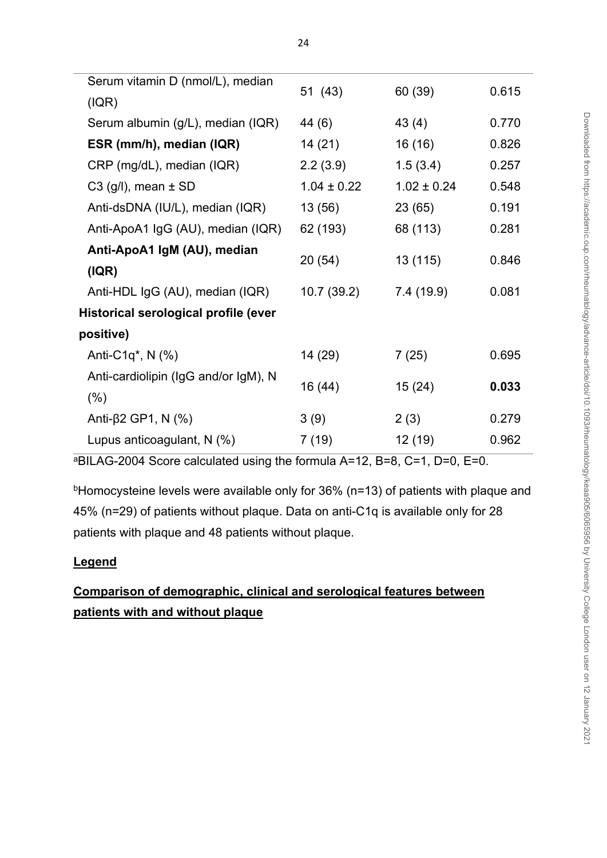| Serum vitamin D (nmol/L), median     |                 |                 | 0.615 |
|--------------------------------------|-----------------|-----------------|-------|
| ( IQR)                               | 51 (43)         | 60 (39)         |       |
| Serum albumin (g/L), median (IQR)    | 44 (6)          | 43(4)           | 0.770 |
| ESR (mm/h), median (IQR)             | 14 (21)         | 16(16)          | 0.826 |
| CRP (mg/dL), median (IQR)            | 2.2(3.9)        | 1.5(3.4)        | 0.257 |
| $C3$ (g/l), mean $\pm$ SD            | $1.04 \pm 0.22$ | $1.02 \pm 0.24$ | 0.548 |
| Anti-dsDNA (IU/L), median (IQR)      | 13 (56)         | 23(65)          | 0.191 |
| Anti-ApoA1 IgG (AU), median (IQR)    | 62 (193)        | 68 (113)        | 0.281 |
| Anti-ApoA1 IgM (AU), median          | 20 (54)         | 13 (115)        | 0.846 |
| ( IQR)                               |                 |                 |       |
| Anti-HDL IgG (AU), median (IQR)      | 10.7(39.2)      | 7.4 (19.9)      | 0.081 |
| Historical serological profile (ever |                 |                 |       |
| positive)                            |                 |                 |       |
| Anti-C1q <sup>*</sup> , N $(%$       | 14 (29)         | 7(25)           | 0.695 |
| Anti-cardiolipin (IgG and/or IgM), N | 16 (44)         | 15(24)          | 0.033 |
| (% )                                 |                 |                 |       |
| Anti-β2 GP1, N $(\%)$                | 3(9)            | 2(3)            | 0.279 |
| Lupus anticoagulant, N (%)           | 7 (19)          | 12 (19)         | 0.962 |

<sup>a</sup>BILAG-2004 Score calculated using the formula A=12, B=8, C=1, D=0, E=0.

<sup>b</sup>Homocysteine levels were available only for 36% (n=13) of patients with plaque and 45% (n=29) of patients without plaque. Data on anti-C1q is available only for 28 patients with plaque and 48 patients without plaque.

# **Legend**

# **Comparison of demographic, clinical and serological features between patients with and without plaque**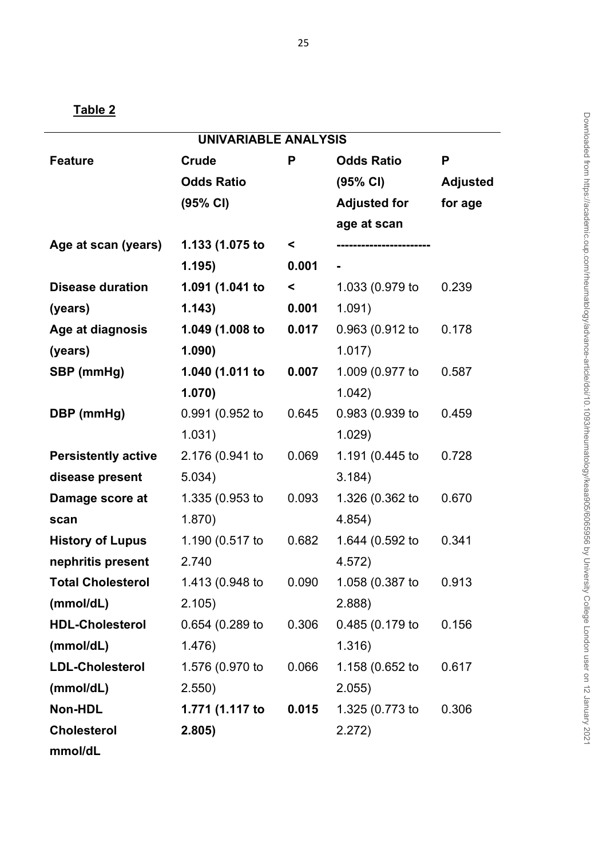| <b>UNIVARIABLE ANALYSIS</b> |                   |                     |                       |                 |  |
|-----------------------------|-------------------|---------------------|-----------------------|-----------------|--|
| <b>Feature</b>              | Crude             | P                   | <b>Odds Ratio</b>     | P               |  |
|                             | <b>Odds Ratio</b> |                     | $(95% \text{ Cl})$    | <b>Adjusted</b> |  |
|                             | (95% CI)          |                     | <b>Adjusted for</b>   | for age         |  |
|                             |                   |                     | age at scan           |                 |  |
| Age at scan (years)         | 1.133 (1.075 to   | $\prec$             | --------------------- |                 |  |
|                             | 1.195)            | 0.001               |                       |                 |  |
| <b>Disease duration</b>     | 1.091 (1.041 to   | $\prec$ and $\prec$ | 1.033 (0.979 to       | 0.239           |  |
| (years)                     | 1.143)            | 0.001               | 1.091)                |                 |  |
| Age at diagnosis            | 1.049 (1.008 to   | 0.017               | 0.963 (0.912 to       | 0.178           |  |
| (years)                     | 1.090)            |                     | 1.017)                |                 |  |
| SBP (mmHg)                  | 1.040 (1.011 to   | 0.007               | 1.009 (0.977 to       | 0.587           |  |
|                             | 1.070)            |                     | 1.042)                |                 |  |
| DBP (mmHg)                  | 0.991 (0.952 to   | 0.645               | 0.983 (0.939 to       | 0.459           |  |
|                             | 1.031)            |                     | 1.029)                |                 |  |
| <b>Persistently active</b>  | 2.176 (0.941 to   | 0.069               | 1.191 (0.445 to       | 0.728           |  |
| disease present             | 5.034)            |                     | 3.184)                |                 |  |
| Damage score at             | 1.335 (0.953 to   | 0.093               | 1.326 (0.362 to       | 0.670           |  |
| scan                        | 1.870)            |                     | 4.854)                |                 |  |
| <b>History of Lupus</b>     | 1.190 (0.517 to   | 0.682               | 1.644 (0.592 to       | 0.341           |  |
| nephritis present           | 2.740             |                     | 4.572)                |                 |  |
| <b>Total Cholesterol</b>    | 1.413 (0.948 to   | 0.090               | 1.058 (0.387 to 0.913 |                 |  |
| (mmol/dL)                   | 2.105)            |                     | 2.888                 |                 |  |
| <b>HDL-Cholesterol</b>      | 0.654 (0.289 to   | 0.306               | 0.485(0.179)          | 0.156           |  |
| (mmol/dL)                   | 1.476)            |                     | 1.316)                |                 |  |
| <b>LDL-Cholesterol</b>      | 1.576 (0.970 to   | 0.066               | 1.158 (0.652 to       | 0.617           |  |
| (mmol/dL)                   | 2.550)            |                     | 2.055)                |                 |  |
| Non-HDL                     | 1.771 (1.117 to   | 0.015               | 1.325 (0.773 to       | 0.306           |  |
| <b>Cholesterol</b>          | 2.805)            |                     | 2.272)                |                 |  |
| mmol/dL                     |                   |                     |                       |                 |  |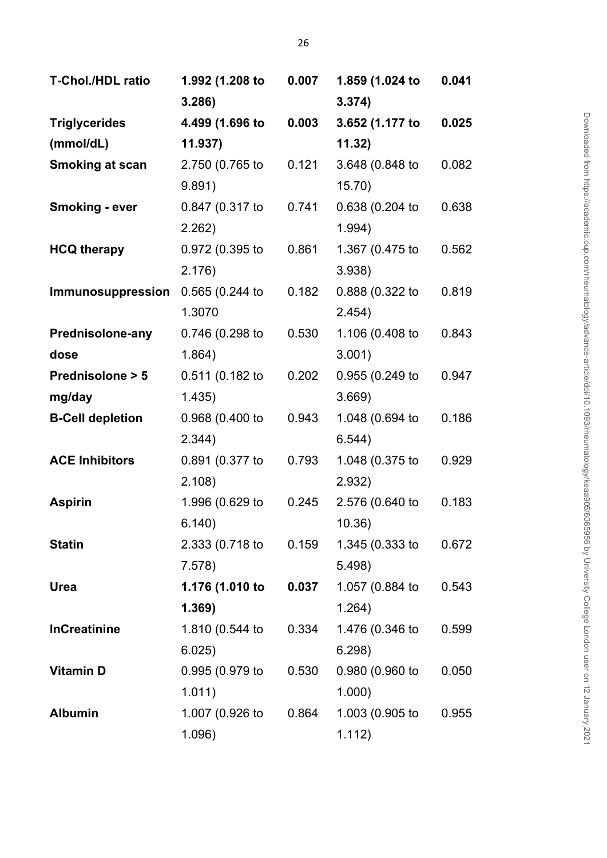| T-Chol./HDL ratio          | 1.992 (1.208 to | 0.007 | 1.859 (1.024 to | 0.041 |
|----------------------------|-----------------|-------|-----------------|-------|
|                            | 3.286           |       | 3.374)          |       |
| <b>Triglycerides</b>       | 4.499 (1.696 to | 0.003 | 3.652 (1.177 to | 0.025 |
| (mmol/dL)                  | 11.937)         |       | 11.32)          |       |
| <b>Smoking at scan</b>     | 2.750 (0.765 to | 0.121 | 3.648 (0.848 to | 0.082 |
|                            | 9.891)          |       | 15.70)          |       |
| <b>Smoking - ever</b>      | 0.847 (0.317 to | 0.741 | 0.638 (0.204 to | 0.638 |
|                            | 2.262)          |       | 1.994)          |       |
| <b>HCQ therapy</b>         | 0.972 (0.395 to | 0.861 | 1.367 (0.475 to | 0.562 |
|                            | 2.176)          |       | 3.938)          |       |
| Immunosuppression          | 0.565 (0.244 to | 0.182 | 0.888 (0.322 to | 0.819 |
|                            | 1.3070          |       | 2.454)          |       |
| <b>Prednisolone-any</b>    | 0.746 (0.298 to | 0.530 | 1.106 (0.408 to | 0.843 |
| dose                       | 1.864)          |       | 3.001)          |       |
| <b>Prednisolone &gt; 5</b> | 0.511 (0.182 to | 0.202 | 0.955 (0.249 to | 0.947 |
| mg/day                     | 1.435)          |       | 3.669)          |       |
| <b>B-Cell depletion</b>    | 0.968 (0.400 to | 0.943 | 1.048 (0.694 to | 0.186 |
|                            | 2.344)          |       | 6.544)          |       |
| <b>ACE Inhibitors</b>      | 0.891 (0.377 to | 0.793 | 1.048 (0.375 to | 0.929 |
|                            | 2.108)          |       | 2.932)          |       |
| <b>Aspirin</b>             | 1.996 (0.629 to | 0.245 | 2.576 (0.640 to | 0.183 |
|                            | 6.140)          |       | 10.36)          |       |
| <b>Statin</b>              | 2.333 (0.718 to | 0.159 | 1.345 (0.333 to | 0.672 |
|                            | 7.578)          |       | 5.498)          |       |
| <b>Urea</b>                | 1.176 (1.010 to | 0.037 | 1.057 (0.884 to | 0.543 |
|                            | 1.369)          |       | 1.264)          |       |
| <b>InCreatinine</b>        | 1.810 (0.544 to | 0.334 | 1.476 (0.346 to | 0.599 |
|                            | 6.025)          |       | 6.298)          |       |
| <b>Vitamin D</b>           | 0.995 (0.979 to | 0.530 | 0.980 (0.960 to | 0.050 |
|                            | 1.011)          |       | 1.000)          |       |
| <b>Albumin</b>             | 1.007 (0.926 to | 0.864 | 1.003 (0.905 to | 0.955 |
|                            | 1.096)          |       | 1.112)          |       |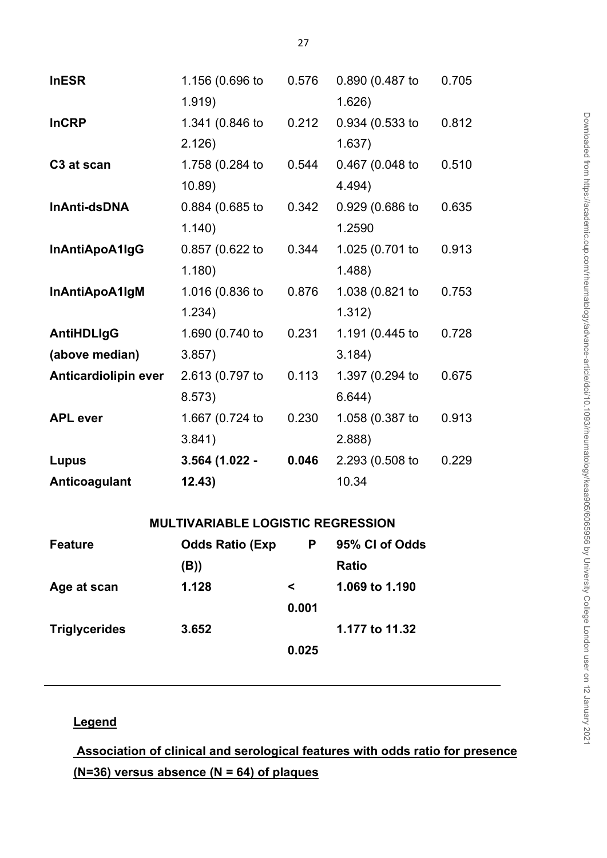| <b>InESR</b>                | 1.156 (0.696 to                          | 0.576   | 0.890 (0.487 to  | 0.705 |  |  |  |
|-----------------------------|------------------------------------------|---------|------------------|-------|--|--|--|
|                             | 1.919)                                   |         | 1.626)           |       |  |  |  |
| <b>InCRP</b>                | 1.341 (0.846 to                          | 0.212   | 0.934 (0.533 to  | 0.812 |  |  |  |
|                             | 2.126                                    |         | 1.637)           |       |  |  |  |
| C <sub>3</sub> at scan      | 1.758 (0.284 to                          | 0.544   | 0.467 (0.048 to  | 0.510 |  |  |  |
|                             | 10.89                                    |         | 4.494)           |       |  |  |  |
| InAnti-dsDNA                | 0.884 (0.685 to                          | 0.342   | 0.929 (0.686 to  | 0.635 |  |  |  |
|                             | 1.140                                    |         | 1.2590           |       |  |  |  |
| InAntiApoA1IgG              | 0.857 (0.622 to                          | 0.344   | 1.025 (0.701 to  | 0.913 |  |  |  |
|                             | 1.180)                                   |         | 1.488)           |       |  |  |  |
| InAntiApoA1IgM              | 1.016 (0.836 to                          | 0.876   | 1.038 (0.821 to  | 0.753 |  |  |  |
|                             | 1.234)                                   |         | 1.312)           |       |  |  |  |
| <b>AntiHDLIgG</b>           | 1.690 (0.740 to                          | 0.231   | 1.191 (0.445 to  | 0.728 |  |  |  |
| (above median)              | 3.857                                    |         | 3.184)           |       |  |  |  |
| <b>Anticardiolipin ever</b> | 2.613 (0.797 to                          | 0.113   | 1.397 (0.294 to  | 0.675 |  |  |  |
|                             | 8.573)                                   |         | 6.644)           |       |  |  |  |
| <b>APL</b> ever             | 1.667 (0.724 to                          | 0.230   | 1.058 (0.387 to  | 0.913 |  |  |  |
|                             | 3.841)                                   |         | 2.888            |       |  |  |  |
| Lupus                       | 3.564 (1.022 -                           | 0.046   | 2.293 (0.508 to  | 0.229 |  |  |  |
| Anticoagulant               | 12.43)                                   |         | 10.34            |       |  |  |  |
|                             |                                          |         |                  |       |  |  |  |
|                             | <b>MULTIVARIABLE LOGISTIC REGRESSION</b> |         |                  |       |  |  |  |
| <b>Feature</b>              | <b>Odds Ratio (Exp</b>                   |         | P 95% CI of Odds |       |  |  |  |
|                             | (B))                                     |         | <b>Ratio</b>     |       |  |  |  |
| Age at scan                 | 1.128                                    | $\prec$ | 1.069 to 1.190   |       |  |  |  |
|                             |                                          | 0.001   |                  |       |  |  |  |
| <b>Triglycerides</b>        | 3.652                                    |         | 1.177 to 11.32   |       |  |  |  |

 **Association of clinical and serological features with odds ratio for presence (N=36) versus absence (N = 64) of plaques**

**0.025**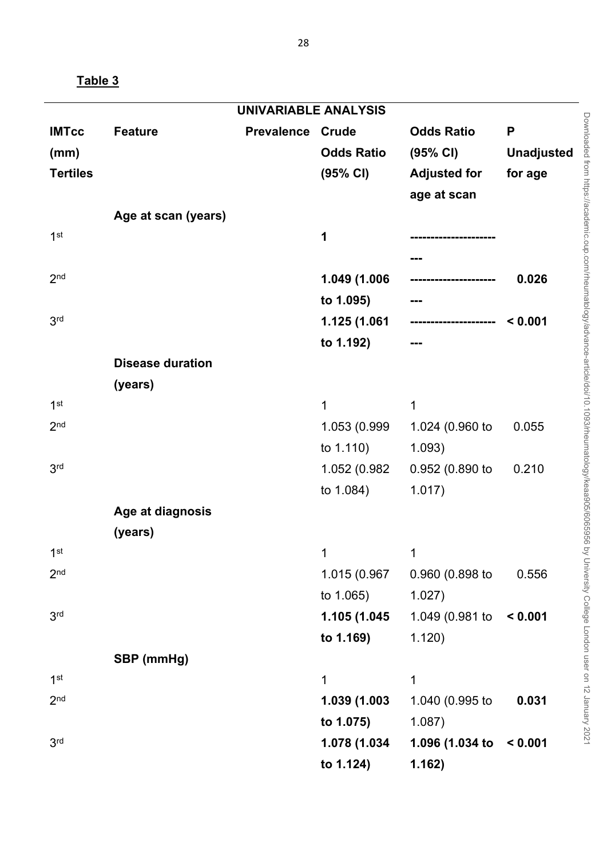**Table 3**

| <b>IMTcc</b>    | <b>Feature</b>          | <b>Prevalence</b> | Crude             | <b>Odds Ratio</b>   | P                 |
|-----------------|-------------------------|-------------------|-------------------|---------------------|-------------------|
| (mm)            |                         |                   | <b>Odds Ratio</b> | (95% CI)            | <b>Unadjusted</b> |
| <b>Tertiles</b> |                         |                   | (95% CI)          | <b>Adjusted for</b> | for age           |
|                 |                         |                   |                   | age at scan         |                   |
|                 | Age at scan (years)     |                   |                   |                     |                   |
| 1 <sup>st</sup> |                         |                   | 1                 |                     |                   |
|                 |                         |                   |                   |                     |                   |
| 2 <sub>nd</sub> |                         |                   | 1.049 (1.006      |                     | 0.026             |
|                 |                         |                   | to 1.095)         |                     |                   |
| 3 <sup>rd</sup> |                         |                   | 1.125 (1.061      | ----------------    | < 0.001           |
|                 |                         |                   | to 1.192)         |                     |                   |
|                 | <b>Disease duration</b> |                   |                   |                     |                   |
|                 | (years)                 |                   |                   |                     |                   |
| 1 <sup>st</sup> |                         |                   | 1                 | $\mathbf 1$         |                   |
| 2 <sub>nd</sub> |                         |                   | 1.053 (0.999      | 1.024 (0.960 to     | 0.055             |
|                 |                         |                   | to $1.110$ )      | 1.093)              |                   |
| 3 <sup>rd</sup> |                         |                   | 1.052 (0.982      | 0.952 (0.890 to     | 0.210             |
|                 |                         |                   | to 1.084)         | 1.017)              |                   |
|                 | Age at diagnosis        |                   |                   |                     |                   |
|                 | (years)                 |                   |                   |                     |                   |
| 1 <sup>st</sup> |                         |                   | 1                 | 1                   |                   |
| 2 <sub>nd</sub> |                         |                   | 1.015 (0.967      | 0.960 (0.898 to     | 0.556             |
|                 |                         |                   | to $1.065$ )      | 1.027)              |                   |
| 3 <sub>rd</sub> |                         |                   | 1.105 (1.045      | 1.049 (0.981 to     | < 0.001           |
|                 |                         |                   | to 1.169)         | 1.120)              |                   |
|                 | SBP (mmHg)              |                   |                   |                     |                   |
| 1 <sup>st</sup> |                         |                   | 1                 | $\mathbf 1$         |                   |
| 2 <sub>nd</sub> |                         |                   | 1.039 (1.003      | 1.040 (0.995 to     | 0.031             |
|                 |                         |                   | to 1.075)         | 1.087)              |                   |
| 3 <sup>rd</sup> |                         |                   | 1.078 (1.034      | 1.096 (1.034 to     | < 0.001           |
|                 |                         |                   | to 1.124)         | 1.162)              |                   |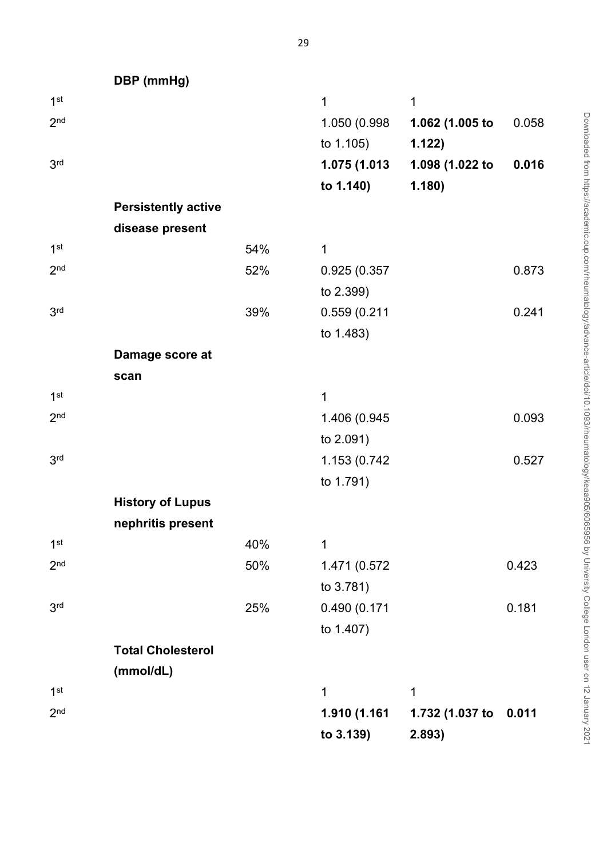**DBP (mmHg)**

| 1 <sup>st</sup> |                            |     | 1            | 1               |       |
|-----------------|----------------------------|-----|--------------|-----------------|-------|
| 2 <sub>nd</sub> |                            |     | 1.050 (0.998 | 1.062 (1.005 to | 0.058 |
|                 |                            |     | to 1.105)    | 1.122)          |       |
| 3 <sup>rd</sup> |                            |     | 1.075 (1.013 | 1.098 (1.022 to | 0.016 |
|                 |                            |     | to 1.140)    | 1.180)          |       |
|                 | <b>Persistently active</b> |     |              |                 |       |
|                 | disease present            |     |              |                 |       |
| 1 <sup>st</sup> |                            | 54% | 1            |                 |       |
| 2 <sub>nd</sub> |                            | 52% | 0.925 (0.357 |                 | 0.873 |
|                 |                            |     | to 2.399)    |                 |       |
| 3 <sup>rd</sup> |                            | 39% | 0.559 (0.211 |                 | 0.241 |
|                 |                            |     | to 1.483)    |                 |       |
|                 | Damage score at            |     |              |                 |       |
|                 | scan                       |     |              |                 |       |
| 1 <sup>st</sup> |                            |     | 1            |                 |       |
| 2 <sub>nd</sub> |                            |     | 1.406 (0.945 |                 | 0.093 |
|                 |                            |     | to 2.091)    |                 |       |
| 3 <sup>rd</sup> |                            |     | 1.153 (0.742 |                 | 0.527 |
|                 |                            |     | to 1.791)    |                 |       |
|                 | <b>History of Lupus</b>    |     |              |                 |       |
|                 | nephritis present          |     |              |                 |       |
| 1 <sup>st</sup> |                            | 40% | 1            |                 |       |
| 2 <sub>nd</sub> |                            | 50% | 1.471 (0.572 |                 | 0.423 |
|                 |                            |     | to 3.781)    |                 |       |
| 3 <sup>rd</sup> |                            | 25% | 0.490 (0.171 |                 | 0.181 |
|                 |                            |     | to 1.407)    |                 |       |
|                 | <b>Total Cholesterol</b>   |     |              |                 |       |
|                 | (mmol/dL)                  |     |              |                 |       |
| 1 <sup>st</sup> |                            |     | 1            | 1               |       |
| 2 <sub>nd</sub> |                            |     | 1.910 (1.161 | 1.732 (1.037 to | 0.011 |
|                 |                            |     | to 3.139)    | 2.893)          |       |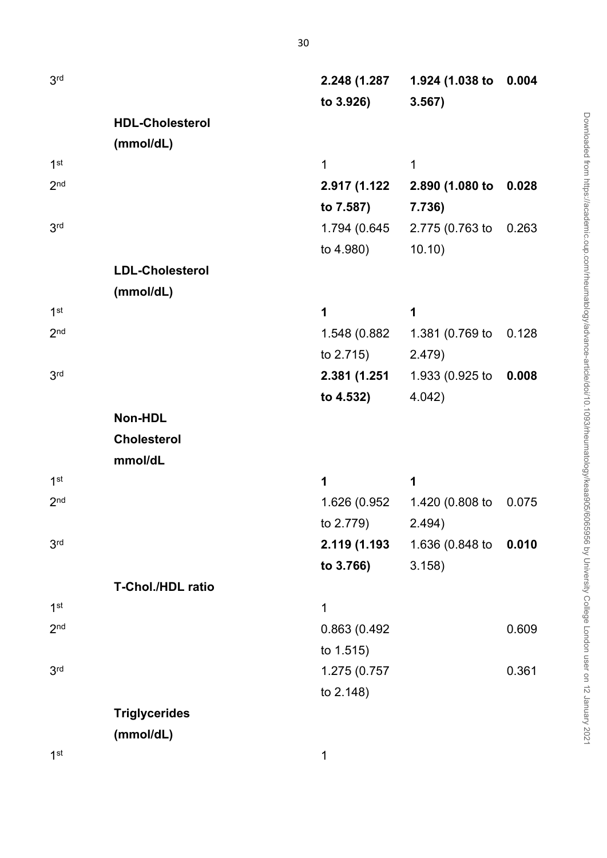| 3 <sup>rd</sup> |                        | 2.248 (1.287 | 1.924 (1.038 to                     | 0.004 |
|-----------------|------------------------|--------------|-------------------------------------|-------|
|                 |                        | to 3.926)    | 3.567)                              |       |
|                 | <b>HDL-Cholesterol</b> |              |                                     |       |
|                 | (mmol/dL)              |              |                                     |       |
| 1 <sup>st</sup> |                        | $\mathbf 1$  | 1                                   |       |
| 2 <sub>nd</sub> |                        | 2.917 (1.122 | 2.890 (1.080 to                     | 0.028 |
|                 |                        | to 7.587)    | 7.736)                              |       |
| 3 <sup>rd</sup> |                        | 1.794 (0.645 | 2.775 (0.763 to                     | 0.263 |
|                 |                        | to 4.980)    | 10.10)                              |       |
|                 | <b>LDL-Cholesterol</b> |              |                                     |       |
|                 | (mmol/dL)              |              |                                     |       |
| 1 <sup>st</sup> |                        | 1            | 1                                   |       |
| 2 <sub>nd</sub> |                        | 1.548 (0.882 | 1.381 (0.769 to                     | 0.128 |
|                 |                        | to $2.715$ ) | 2.479)                              |       |
| 3 <sup>rd</sup> |                        | 2.381 (1.251 | 1.933 (0.925 to                     | 0.008 |
|                 |                        | to 4.532)    | 4.042)                              |       |
|                 | Non-HDL                |              |                                     |       |
|                 | <b>Cholesterol</b>     |              |                                     |       |
|                 | mmol/dL                |              |                                     |       |
| 1 <sup>st</sup> |                        | 1            | 1                                   |       |
| 2 <sub>nd</sub> |                        | 1.626 (0.952 | 1.420 (0.808 to                     | 0.075 |
|                 |                        | to 2.779)    | 2.494)                              |       |
| 3 <sup>rd</sup> |                        |              | <b>2.119 (1.193</b> 1.636 (0.848 to | 0.010 |
|                 |                        | to 3.766)    | 3.158)                              |       |
|                 | T-Chol./HDL ratio      |              |                                     |       |
| 1 <sup>st</sup> |                        | 1            |                                     |       |
| 2 <sub>nd</sub> |                        | 0.863 (0.492 |                                     | 0.609 |
|                 |                        | to 1.515)    |                                     |       |
| 3 <sup>rd</sup> |                        | 1.275 (0.757 |                                     | 0.361 |
|                 |                        | to 2.148)    |                                     |       |
|                 | <b>Triglycerides</b>   |              |                                     |       |
|                 | (mmol/dL)              |              |                                     |       |
| 1 <sup>st</sup> |                        | 1            |                                     |       |

Downloaded from https://academic.oup.com/rheumatology/advance-article/doi/10.1093/theumatology/keaa905/6065956 by University College London user on 12 January 2021 Downloaded from https://academic.oup.com/rheumatology/advance-article/doi/10.1093/rheumatology/keaa905/6065956 by University College London user on 12 January 2021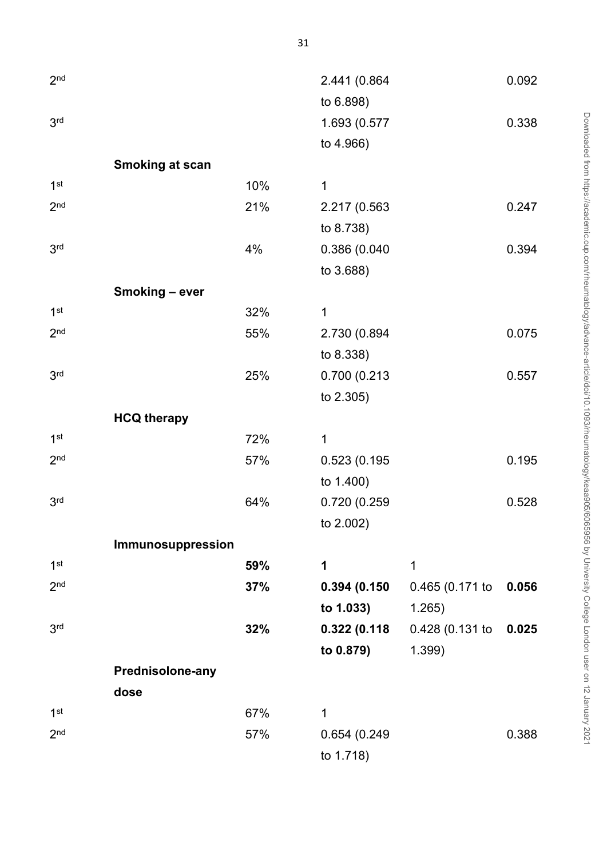| 2 <sub>nd</sub> |                        |     | 2.441 (0.864 |                 | 0.092 |
|-----------------|------------------------|-----|--------------|-----------------|-------|
|                 |                        |     | to 6.898)    |                 |       |
| 3 <sup>rd</sup> |                        |     | 1.693 (0.577 |                 | 0.338 |
|                 |                        |     | to 4.966)    |                 |       |
|                 | <b>Smoking at scan</b> |     |              |                 |       |
| 1 <sup>st</sup> |                        | 10% | 1            |                 |       |
| 2 <sub>nd</sub> |                        | 21% | 2.217 (0.563 |                 | 0.247 |
|                 |                        |     | to 8.738)    |                 |       |
| 3 <sup>rd</sup> |                        | 4%  | 0.386 (0.040 |                 | 0.394 |
|                 |                        |     | to 3.688)    |                 |       |
|                 | Smoking - ever         |     |              |                 |       |
| 1 <sup>st</sup> |                        | 32% | 1            |                 |       |
| 2 <sub>nd</sub> |                        | 55% | 2.730 (0.894 |                 | 0.075 |
|                 |                        |     | to 8.338)    |                 |       |
| 3 <sup>rd</sup> |                        | 25% | 0.700 (0.213 |                 | 0.557 |
|                 |                        |     | to 2.305)    |                 |       |
|                 | <b>HCQ therapy</b>     |     |              |                 |       |
| 1 <sup>st</sup> |                        | 72% | 1            |                 |       |
| 2 <sub>nd</sub> |                        | 57% | 0.523 (0.195 |                 | 0.195 |
|                 |                        |     | to 1.400)    |                 |       |
| 3 <sup>rd</sup> |                        | 64% | 0.720 (0.259 |                 | 0.528 |
|                 |                        |     | to 2.002)    |                 |       |
|                 | Immunosuppression      |     |              |                 |       |
| 1 <sup>st</sup> |                        | 59% | 1            | 1               |       |
| 2 <sub>nd</sub> |                        | 37% | 0.394(0.150) | 0.465(0.171)    | 0.056 |
|                 |                        |     | to 1.033)    | 1.265)          |       |
| 3 <sup>rd</sup> |                        | 32% | 0.322(0.118  | 0.428 (0.131 to | 0.025 |
|                 |                        |     | to 0.879)    | $1.399$ )       |       |
|                 | Prednisolone-any       |     |              |                 |       |
|                 | dose                   |     |              |                 |       |
| 1 <sup>st</sup> |                        | 67% | 1            |                 |       |
| 2 <sub>nd</sub> |                        | 57% | 0.654 (0.249 |                 | 0.388 |
|                 |                        |     | to 1.718)    |                 |       |

Downloaded from https://academic.oup.com/rheumatology/advance-article/doi/10.1093/theumatology/keaa905/6065956 by University College London user on 12 January 2021 Downloaded from https://academic.oup.com/rheumatology/advance-article/doi/10.1093/rheumatology/keaa905/6065956 by University College London user on 12 January 2021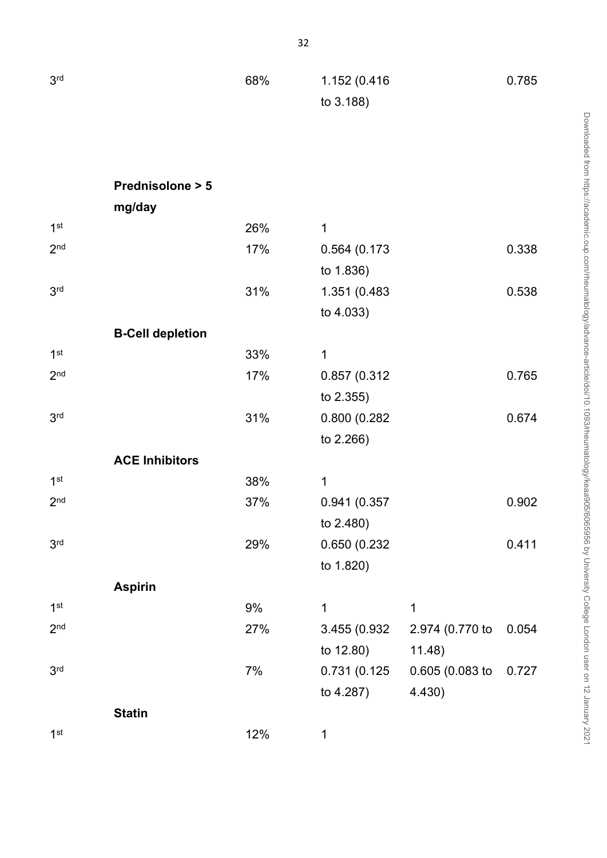| 3 <sup>rd</sup> |                            | 68% | 1.152 (0.416<br>to 3.188) |                 | 0.785 |
|-----------------|----------------------------|-----|---------------------------|-----------------|-------|
|                 |                            |     |                           |                 |       |
|                 | <b>Prednisolone &gt; 5</b> |     |                           |                 |       |
|                 | mg/day                     |     |                           |                 |       |
| 1 <sup>st</sup> |                            | 26% | $\mathbf 1$               |                 |       |
| 2 <sub>nd</sub> |                            | 17% | 0.564 (0.173              |                 | 0.338 |
|                 |                            |     | to 1.836)                 |                 |       |
| 3 <sup>rd</sup> |                            | 31% | 1.351 (0.483              |                 | 0.538 |
|                 |                            |     | to 4.033)                 |                 |       |
|                 | <b>B-Cell depletion</b>    |     |                           |                 |       |
| 1 <sup>st</sup> |                            | 33% | 1                         |                 |       |
| 2 <sub>nd</sub> |                            | 17% | 0.857 (0.312              |                 | 0.765 |
|                 |                            |     | to 2.355)                 |                 |       |
| 3 <sup>rd</sup> |                            | 31% | 0.800 (0.282              |                 | 0.674 |
|                 |                            |     | to 2.266)                 |                 |       |
|                 | <b>ACE Inhibitors</b>      |     |                           |                 |       |
| 1 <sup>st</sup> |                            | 38% | 1                         |                 |       |
| 2 <sub>nd</sub> |                            | 37% | 0.941 (0.357              |                 | 0.902 |
|                 |                            |     | to 2.480)                 |                 |       |
| 3 <sup>rd</sup> |                            | 29% | 0.650 (0.232              |                 | 0.411 |
|                 |                            |     | to 1.820)                 |                 |       |
|                 | <b>Aspirin</b>             |     |                           |                 |       |
| 1 <sup>st</sup> |                            | 9%  | 1                         | 1               |       |
| 2 <sub>nd</sub> |                            | 27% | 3.455 (0.932)             | 2.974 (0.770 to | 0.054 |
|                 |                            |     | to 12.80)                 | 11.48)          |       |
| 3 <sup>rd</sup> |                            | 7%  | 0.731 (0.125              | 0.605 (0.083 to | 0.727 |
|                 |                            |     | to 4.287)                 | 4.430)          |       |
|                 | <b>Statin</b>              |     |                           |                 |       |
| 1 <sup>st</sup> |                            | 12% | 1                         |                 |       |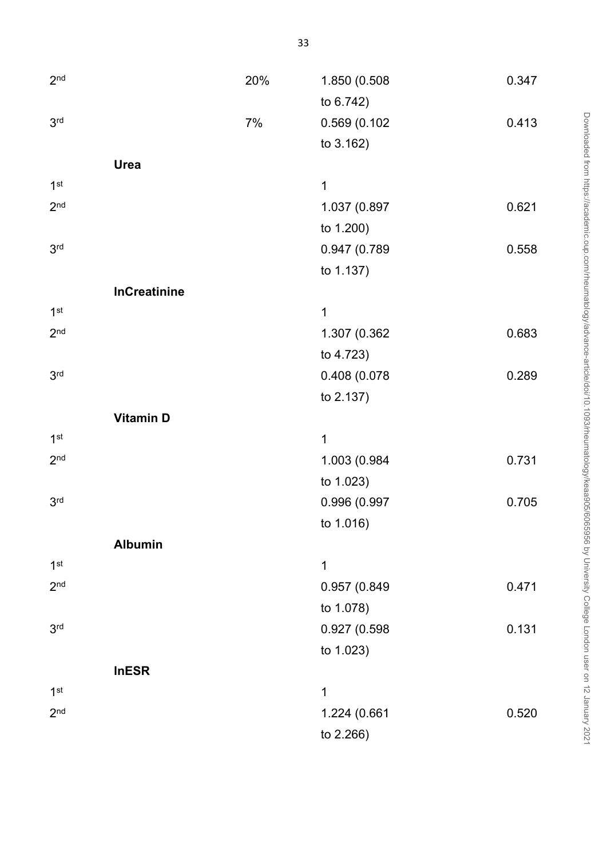| 2 <sub>nd</sub> |                     | 20% | 1.850 (0.508 | 0.347 |
|-----------------|---------------------|-----|--------------|-------|
|                 |                     |     | to 6.742)    |       |
| 3 <sup>rd</sup> |                     | 7%  | 0.569 (0.102 | 0.413 |
|                 |                     |     | to 3.162)    |       |
|                 | Urea                |     |              |       |
| 1 <sup>st</sup> |                     |     | $\mathbf{1}$ |       |
| 2 <sub>nd</sub> |                     |     | 1.037 (0.897 | 0.621 |
|                 |                     |     | to 1.200)    |       |
| 3 <sup>rd</sup> |                     |     | 0.947 (0.789 | 0.558 |
|                 |                     |     | to 1.137)    |       |
|                 | <b>InCreatinine</b> |     |              |       |
| 1 <sup>st</sup> |                     |     | 1            |       |
| 2 <sub>nd</sub> |                     |     | 1.307 (0.362 | 0.683 |
|                 |                     |     | to 4.723)    |       |
| 3 <sup>rd</sup> |                     |     | 0.408 (0.078 | 0.289 |
|                 |                     |     | to 2.137)    |       |
|                 | <b>Vitamin D</b>    |     |              |       |
| 1 <sup>st</sup> |                     |     | 1            |       |
| 2 <sub>nd</sub> |                     |     | 1.003 (0.984 | 0.731 |
|                 |                     |     | to 1.023)    |       |
| 3 <sup>rd</sup> |                     |     | 0.996 (0.997 | 0.705 |
|                 |                     |     | to 1.016)    |       |
|                 | <b>Albumin</b>      |     |              |       |
| 1 <sup>st</sup> |                     |     | 1            |       |
| 2 <sub>nd</sub> |                     |     | 0.957 (0.849 | 0.471 |
|                 |                     |     | to 1.078)    |       |
| 3 <sup>rd</sup> |                     |     | 0.927 (0.598 | 0.131 |
|                 |                     |     | to 1.023)    |       |
|                 | <b>InESR</b>        |     |              |       |
| 1 <sup>st</sup> |                     |     | $\mathbf 1$  |       |
| 2 <sub>nd</sub> |                     |     | 1.224 (0.661 | 0.520 |
|                 |                     |     | to 2.266)    |       |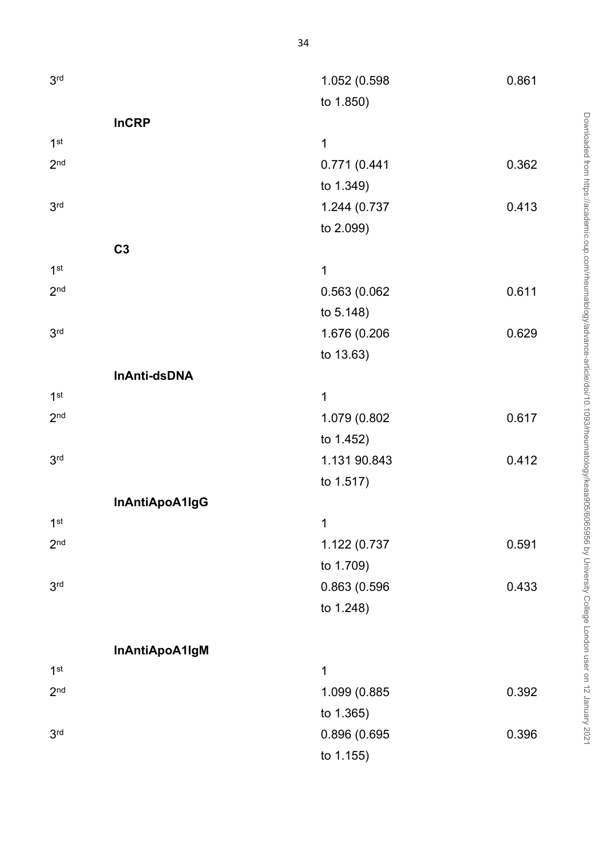| 3 <sup>rd</sup> |                | 1.052 (0.598 | 0.861 |
|-----------------|----------------|--------------|-------|
|                 |                |              |       |
|                 |                | to 1.850)    |       |
|                 | <b>InCRP</b>   |              |       |
| 1 <sup>st</sup> |                | 1            |       |
| 2 <sub>nd</sub> |                | 0.771 (0.441 | 0.362 |
|                 |                | to 1.349)    |       |
| 3 <sup>rd</sup> |                | 1.244 (0.737 | 0.413 |
|                 |                | to 2.099)    |       |
|                 | C <sub>3</sub> |              |       |
| 1 <sup>st</sup> |                | 1            |       |
| 2 <sub>nd</sub> |                | 0.563 (0.062 | 0.611 |
|                 |                | to 5.148)    |       |
| 3 <sup>rd</sup> |                | 1.676 (0.206 | 0.629 |
|                 |                | to 13.63)    |       |
|                 | InAnti-dsDNA   |              |       |
| 1 <sup>st</sup> |                | 1            |       |
| 2 <sub>nd</sub> |                | 1.079 (0.802 | 0.617 |
|                 |                | to 1.452)    |       |
| 3 <sup>rd</sup> |                | 1.131 90.843 | 0.412 |
|                 |                | to 1.517)    |       |
|                 | InAntiApoA1IgG |              |       |
| 1 <sup>st</sup> |                | $\mathbf{1}$ |       |
| 2 <sub>nd</sub> |                | 1.122 (0.737 | 0.591 |
|                 |                | to 1.709)    |       |
| 3 <sup>rd</sup> |                | 0.863 (0.596 | 0.433 |
|                 |                | to 1.248)    |       |
|                 |                |              |       |
|                 |                |              |       |
|                 | InAntiApoA1IgM |              |       |
| 1 <sup>st</sup> |                | 1            |       |
| 2 <sub>nd</sub> |                | 1.099 (0.885 | 0.392 |
|                 |                | to 1.365)    |       |
| 3 <sup>rd</sup> |                | 0.896 (0.695 | 0.396 |

to 1.155)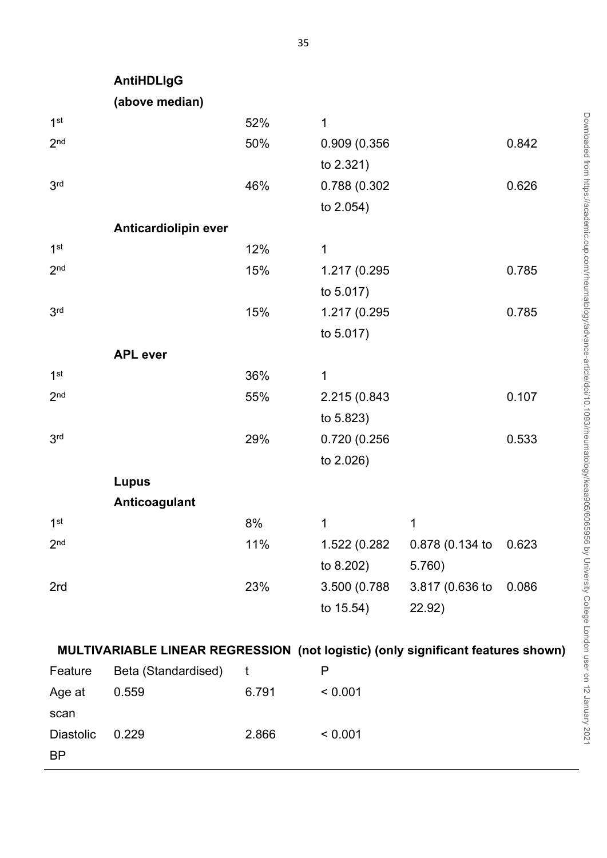| 1 <sup>st</sup> |                      | 52% | 1             |                 |       |
|-----------------|----------------------|-----|---------------|-----------------|-------|
| 2 <sub>nd</sub> |                      | 50% | 0.909 (0.356  |                 | 0.842 |
|                 |                      |     | to 2.321)     |                 |       |
| 3 <sup>rd</sup> |                      | 46% | 0.788 (0.302  |                 | 0.626 |
|                 |                      |     | to 2.054)     |                 |       |
|                 | Anticardiolipin ever |     |               |                 |       |
| 1 <sup>st</sup> |                      | 12% | $\mathbf 1$   |                 |       |
| 2 <sub>nd</sub> |                      | 15% | 1.217 (0.295  |                 | 0.785 |
|                 |                      |     | to 5.017)     |                 |       |
| 3 <sup>rd</sup> |                      | 15% | 1.217 (0.295  |                 | 0.785 |
|                 |                      |     | to 5.017)     |                 |       |
|                 | <b>APL</b> ever      |     |               |                 |       |
| 1 <sup>st</sup> |                      | 36% | $\mathbf 1$   |                 |       |
| 2 <sub>nd</sub> |                      | 55% | 2.215 (0.843  |                 | 0.107 |
|                 |                      |     | to 5.823)     |                 |       |
| 3 <sup>rd</sup> |                      | 29% | 0.720 (0.256  |                 | 0.533 |
|                 |                      |     | to 2.026)     |                 |       |
|                 | <b>Lupus</b>         |     |               |                 |       |
|                 | Anticoagulant        |     |               |                 |       |
| 1 <sup>st</sup> |                      | 8%  | $\mathbf 1$   | $\mathbf 1$     |       |
| 2 <sub>nd</sub> |                      | 11% | 1.522 (0.282  | 0.878 (0.134 to | 0.623 |
|                 |                      |     | to 8.202)     | 5.760)          |       |
| 2rd             |                      | 23% | 3.500 (0.788) | 3.817 (0.636 to | 0.086 |
|                 |                      |     | to 15.54)     | 22.92)          |       |
|                 |                      |     |               |                 |       |

| Feature          | Beta (Standardised) |       | Р       |
|------------------|---------------------|-------|---------|
| Age at           | 0.559               | 6.791 | < 0.001 |
| scan             |                     |       |         |
| <b>Diastolic</b> | 0.229               | 2.866 | < 0.001 |
| <b>BP</b>        |                     |       |         |
|                  |                     |       |         |

**AntiHDLIgG**

**(above median)**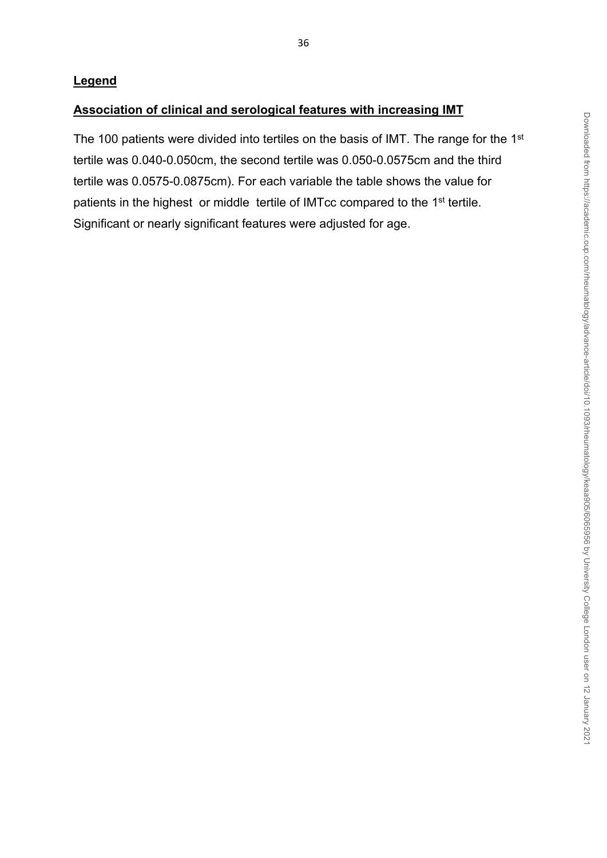# **Legend**

# **Association of clinical and serological features with increasing IMT**

The 100 patients were divided into tertiles on the basis of IMT. The range for the 1<sup>st</sup> tertile was 0.040-0.050cm, the second tertile was 0.050-0.0575cm and the third tertile was 0.0575-0.0875cm). For each variable the table shows the value for patients in the highest or middle tertile of IMTcc compared to the 1<sup>st</sup> tertile. Significant or nearly significant features were adjusted for age.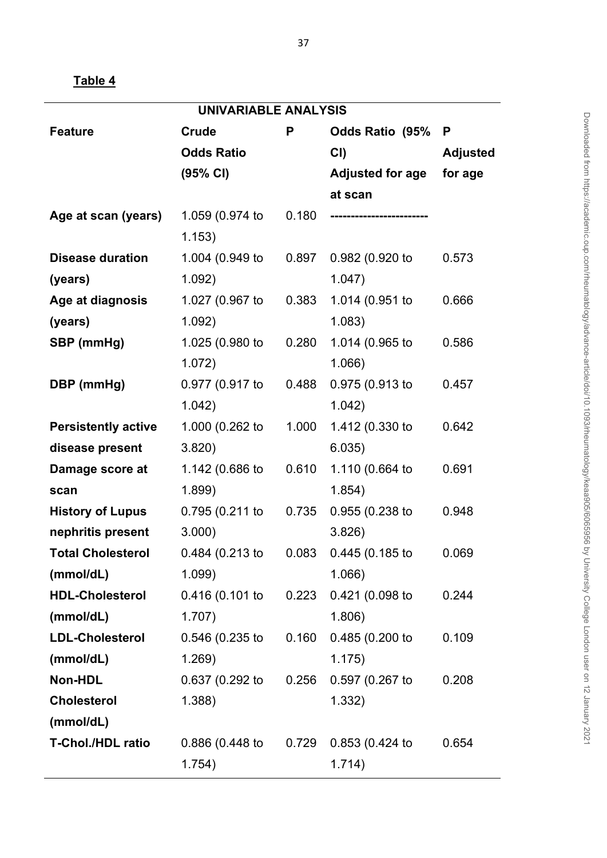| UNIVARIABLE ANALYSIS       |                   |       |                         |                 |  |
|----------------------------|-------------------|-------|-------------------------|-----------------|--|
| <b>Feature</b>             | Crude             | P     | <b>Odds Ratio (95%</b>  | P               |  |
|                            | <b>Odds Ratio</b> |       | CI                      | <b>Adjusted</b> |  |
|                            | (95% CI)          |       | <b>Adjusted for age</b> | for age         |  |
|                            |                   |       | at scan                 |                 |  |
| Age at scan (years)        | 1.059 (0.974 to   | 0.180 |                         |                 |  |
|                            | 1.153)            |       |                         |                 |  |
| <b>Disease duration</b>    | 1.004 (0.949 to   | 0.897 | 0.982 (0.920 to         | 0.573           |  |
| (years)                    | 1.092)            |       | 1.047)                  |                 |  |
| Age at diagnosis           | 1.027 (0.967 to   | 0.383 | 1.014 (0.951 to         | 0.666           |  |
| (years)                    | 1.092)            |       | 1.083)                  |                 |  |
| SBP (mmHg)                 | 1.025 (0.980 to   | 0.280 | 1.014 (0.965 to         | 0.586           |  |
|                            | 1.072)            |       | $1.066$ )               |                 |  |
| DBP (mmHg)                 | 0.977 (0.917 to   | 0.488 | 0.975 (0.913 to         | 0.457           |  |
|                            | 1.042)            |       | 1.042)                  |                 |  |
| <b>Persistently active</b> | 1.000 (0.262 to   | 1.000 | 1.412 (0.330 to         | 0.642           |  |
| disease present            | 3.820             |       | 6.035)                  |                 |  |
| Damage score at            | 1.142 (0.686 to   | 0.610 | 1.110 (0.664 to         | 0.691           |  |
| scan                       | 1.899             |       | 1.854)                  |                 |  |
| <b>History of Lupus</b>    | 0.795 (0.211 to   | 0.735 | $0.955(0.238)$ to       | 0.948           |  |
| nephritis present          | $3.000$ )         |       | 3.826                   |                 |  |
| <b>Total Cholesterol</b>   | 0.484 (0.213 to   | 0.083 | 0.445(0.185)            | 0.069           |  |
| (mmol/dL)                  | 1.099             |       | 1.066)                  |                 |  |
| <b>HDL-Cholesterol</b>     | 0.416(0.101)      | 0.223 | 0.421 (0.098 to         | 0.244           |  |
| (mmol/dL)                  | 1.707)            |       | 1.806)                  |                 |  |
| <b>LDL-Cholesterol</b>     | 0.546 (0.235 to   | 0.160 | 0.485 (0.200 to         | 0.109           |  |
| (mmol/dL)                  | 1.269)            |       | 1.175)                  |                 |  |
| Non-HDL                    | 0.637 (0.292 to   | 0.256 | 0.597(0.267)            | 0.208           |  |
| <b>Cholesterol</b>         | $1.388$ )         |       | 1.332)                  |                 |  |
| (mmol/dL)                  |                   |       |                         |                 |  |
| <b>T-Chol./HDL ratio</b>   | 0.886(0.448)      | 0.729 | 0.853(0.424)            | 0.654           |  |
|                            | 1.754)            |       | 1.714)                  |                 |  |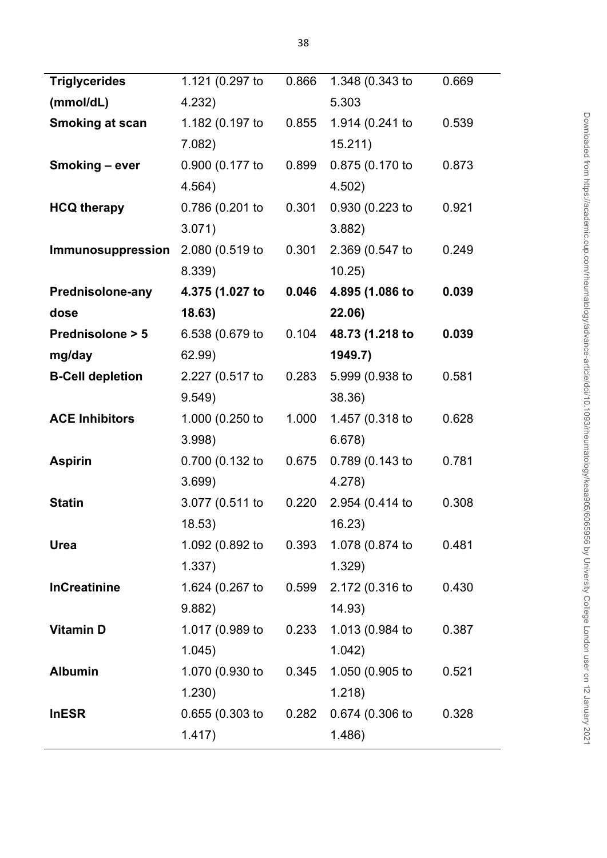| <b>Triglycerides</b>    | 1.121 (0.297 to   | 0.866 | 1.348 (0.343 to | 0.669 |
|-------------------------|-------------------|-------|-----------------|-------|
| (mmol/dL)               | 4.232)            |       | 5.303           |       |
| Smoking at scan         | 1.182 (0.197 to   | 0.855 | 1.914 (0.241 to | 0.539 |
|                         | 7.082)            |       | 15.211)         |       |
| Smoking - ever          | 0.900 (0.177 to   | 0.899 | 0.875 (0.170 to | 0.873 |
|                         | 4.564)            |       | 4.502)          |       |
| <b>HCQ therapy</b>      | 0.786 (0.201 to   | 0.301 | 0.930 (0.223 to | 0.921 |
|                         | 3.071)            |       | 3.882)          |       |
| Immunosuppression       | 2.080 (0.519 to   | 0.301 | 2.369 (0.547 to | 0.249 |
|                         | 8.339)            |       | 10.25)          |       |
| <b>Prednisolone-any</b> | 4.375 (1.027 to   | 0.046 | 4.895 (1.086 to | 0.039 |
| dose                    | 18.63)            |       | 22.06)          |       |
| Prednisolone > 5        | 6.538 (0.679 to   | 0.104 | 48.73 (1.218 to | 0.039 |
| mg/day                  | 62.99)            |       | 1949.7)         |       |
| <b>B-Cell depletion</b> | 2.227 (0.517 to   | 0.283 | 5.999 (0.938 to | 0.581 |
|                         | 9.549             |       | 38.36)          |       |
| <b>ACE Inhibitors</b>   | 1.000 (0.250 to   | 1.000 | 1.457 (0.318 to | 0.628 |
|                         | 3.998             |       | 6.678)          |       |
| <b>Aspirin</b>          | 0.700 (0.132 to   | 0.675 | 0.789 (0.143 to | 0.781 |
|                         | 3.699             |       | 4.278           |       |
| <b>Statin</b>           | 3.077 (0.511 to   | 0.220 | 2.954 (0.414 to | 0.308 |
|                         | 18.53)            |       | 16.23)          |       |
| Urea                    | 1.092 (0.892 to   | 0.393 | 1.078 (0.874 to | 0.481 |
|                         | 1.337)            |       | 1.329)          |       |
| <b>InCreatinine</b>     | 1.624 (0.267 to   | 0.599 | 2.172 (0.316 to | 0.430 |
|                         | 9.882)            |       | 14.93)          |       |
| <b>Vitamin D</b>        | 1.017 (0.989 to   | 0.233 | 1.013 (0.984 to | 0.387 |
|                         | 1.045)            |       | 1.042)          |       |
| <b>Albumin</b>          | 1.070 (0.930 to   | 0.345 | 1.050 (0.905 to | 0.521 |
|                         | 1.230)            |       | 1.218)          |       |
| <b>InESR</b>            | $0.655(0.303)$ to | 0.282 | 0.674 (0.306 to | 0.328 |
|                         | 1.417)            |       | 1.486)          |       |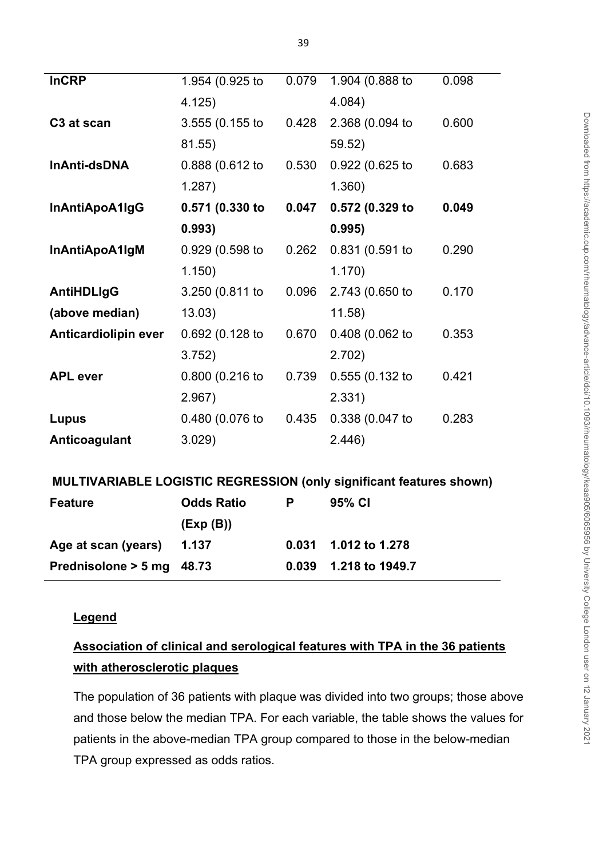| <b>InCRP</b>                                                        | 1.954 (0.925 to   | 0.079 | 1.904 (0.888 to   | 0.098 |  |  |
|---------------------------------------------------------------------|-------------------|-------|-------------------|-------|--|--|
|                                                                     | 4.125)            |       | 4.084)            |       |  |  |
| C3 at scan                                                          | 3.555 (0.155 to   | 0.428 | 2.368 (0.094 to   | 0.600 |  |  |
|                                                                     | 81.55)            |       | 59.52)            |       |  |  |
| InAnti-dsDNA                                                        | 0.888 (0.612 to   | 0.530 | 0.922 (0.625 to   | 0.683 |  |  |
|                                                                     | 1.287)            |       | 1.360)            |       |  |  |
| InAntiApoA1IgG                                                      | 0.571 (0.330 to   | 0.047 | 0.572 (0.329 to   | 0.049 |  |  |
|                                                                     | 0.993)            |       | 0.995)            |       |  |  |
| InAntiApoA1IgM                                                      | 0.929 (0.598 to   | 0.262 | 0.831 (0.591 to   | 0.290 |  |  |
|                                                                     | 1.150)            |       | 1.170)            |       |  |  |
| <b>AntiHDLIgG</b>                                                   | 3.250 (0.811 to   | 0.096 | 2.743 (0.650 to   | 0.170 |  |  |
| (above median)                                                      | 13.03)            |       | 11.58             |       |  |  |
| <b>Anticardiolipin ever</b>                                         | 0.692 (0.128 to   | 0.670 | 0.408 (0.062 to   | 0.353 |  |  |
|                                                                     | 3.752)            |       | 2.702)            |       |  |  |
| <b>APL</b> ever                                                     | 0.800 (0.216 to   | 0.739 | $0.555(0.132)$ to | 0.421 |  |  |
|                                                                     | 2.967)            |       | 2.331)            |       |  |  |
| Lupus                                                               | 0.480 (0.076 to   | 0.435 | 0.338 (0.047 to   | 0.283 |  |  |
| Anticoagulant                                                       | 3.029)            |       | 2.446)            |       |  |  |
|                                                                     |                   |       |                   |       |  |  |
| MULTIVARIABLE LOGISTIC REGRESSION (only significant features shown) |                   |       |                   |       |  |  |
| <b>Feature</b>                                                      | <b>Odds Ratio</b> | P     | 95% CI            |       |  |  |
|                                                                     | (Exp(B))          |       |                   |       |  |  |
| Age at scan (years)                                                 | 1.137             | 0.031 | 1.012 to 1.278    |       |  |  |
| Prednisolone > 5 mg                                                 | 48.73             | 0.039 | 1.218 to 1949.7   |       |  |  |

# **Legend**

# **Association of clinical and serological features with TPA in the 36 patients with atherosclerotic plaques**

The population of 36 patients with plaque was divided into two groups; those above and those below the median TPA. For each variable, the table shows the values for patients in the above-median TPA group compared to those in the below-median TPA group expressed as odds ratios.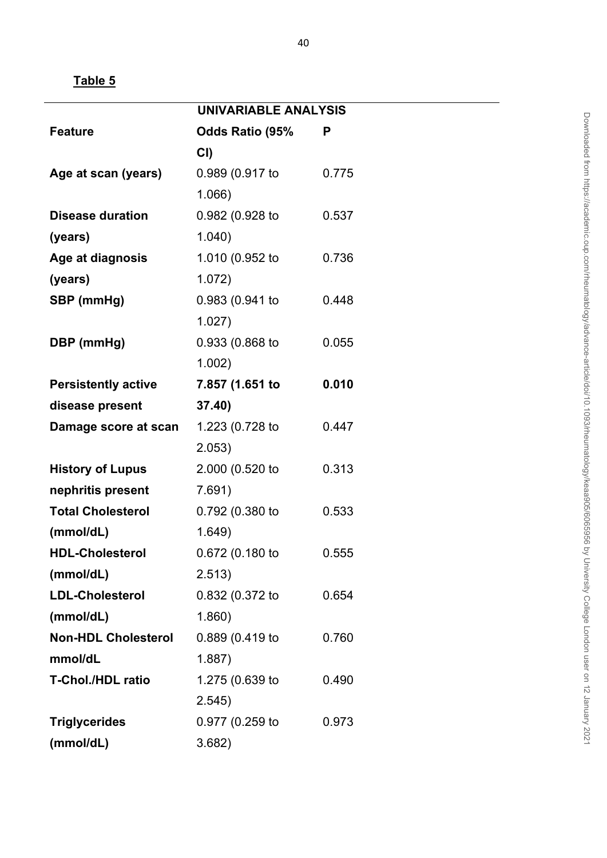|                            | <b>UNIVARIABLE ANALYSIS</b> |       |
|----------------------------|-----------------------------|-------|
| <b>Feature</b>             | Odds Ratio (95%             | P     |
|                            | CI)                         |       |
| Age at scan (years)        | 0.989 (0.917 to             | 0.775 |
|                            | 1.066)                      |       |
| <b>Disease duration</b>    | 0.982 (0.928 to             | 0.537 |
| (years)                    | 1.040)                      |       |
| Age at diagnosis           | 1.010 (0.952 to             | 0.736 |
| (years)                    | 1.072)                      |       |
| SBP (mmHg)                 | 0.983 (0.941 to             | 0.448 |
|                            | 1.027)                      |       |
| DBP (mmHg)                 | 0.933 (0.868 to             | 0.055 |
|                            | 1.002)                      |       |
| <b>Persistently active</b> | 7.857 (1.651 to             | 0.010 |
| disease present            | 37.40)                      |       |
| Damage score at scan       | 1.223 (0.728 to             | 0.447 |
|                            | 2.053)                      |       |
| <b>History of Lupus</b>    | 2.000 (0.520 to             | 0.313 |
| nephritis present          | 7.691)                      |       |
| <b>Total Cholesterol</b>   | 0.792 (0.380 to             | 0.533 |
| (mmol/dL)                  | 1.649)                      |       |
| <b>HDL-Cholesterol</b>     | 0.672 (0.180 to             | 0.555 |
| (mmol/dL)                  | 2.513)                      |       |
| <b>LDL-Cholesterol</b>     | 0.832 (0.372 to             | 0.654 |
| (mmol/dL)                  | 1.860)                      |       |
| <b>Non-HDL Cholesterol</b> | 0.889 (0.419 to             | 0.760 |
| mmol/dL                    | 1.887)                      |       |
| <b>T-Chol./HDL ratio</b>   | 1.275 (0.639 to             | 0.490 |
|                            | 2.545)                      |       |
| <b>Triglycerides</b>       | 0.977 (0.259 to             | 0.973 |
| (mmol/dL)                  | 3.682)                      |       |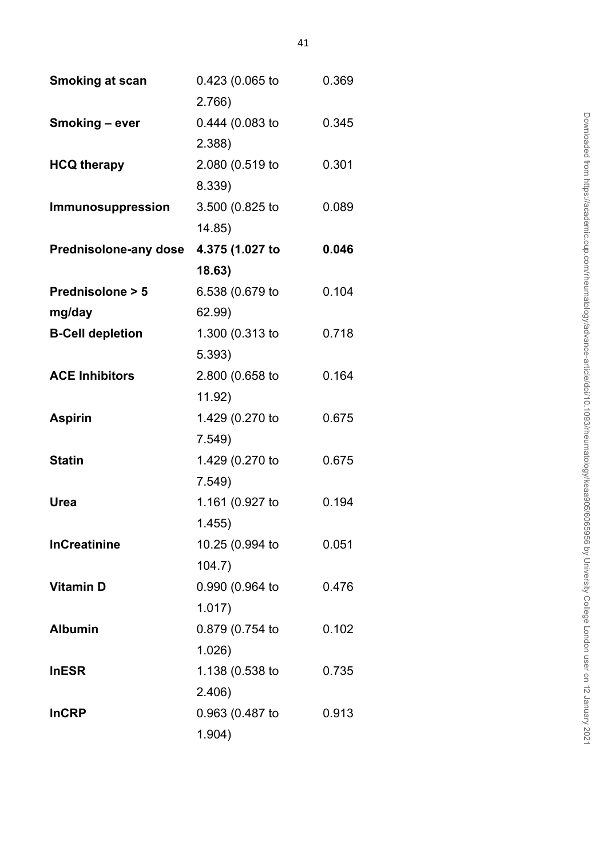| <b>Smoking at scan</b>       | 0.423 (0.065 to | 0.369 |
|------------------------------|-----------------|-------|
|                              | 2.766           |       |
| Smoking - ever               | 0.444 (0.083 to | 0.345 |
|                              | 2.388           |       |
| <b>HCQ therapy</b>           | 2.080 (0.519 to | 0.301 |
|                              | 8.339)          |       |
| Immunosuppression            | 3.500 (0.825 to | 0.089 |
|                              | 14.85)          |       |
| <b>Prednisolone-any dose</b> | 4.375 (1.027 to | 0.046 |
|                              | 18.63)          |       |
| Prednisolone > 5             | 6.538 (0.679 to | 0.104 |
| mg/day                       | 62.99)          |       |
| <b>B-Cell depletion</b>      | 1.300 (0.313 to | 0.718 |
|                              | 5.393)          |       |
| <b>ACE Inhibitors</b>        | 2.800 (0.658 to | 0.164 |
|                              | 11.92)          |       |
| <b>Aspirin</b>               | 1.429 (0.270 to | 0.675 |
|                              | 7.549           |       |
| <b>Statin</b>                | 1.429 (0.270 to | 0.675 |
|                              | 7.549           |       |
| Urea                         | 1.161 (0.927 to | 0.194 |
|                              | 1.455)          |       |
| <b>InCreatinine</b>          | 10.25 (0.994 to | 0.051 |
|                              | 104.7           |       |
| <b>Vitamin D</b>             | 0.990 (0.964 to | 0.476 |
|                              | 1.017)          |       |
| <b>Albumin</b>               | 0.879 (0.754 to | 0.102 |
|                              | $1.026$ )       |       |
| <b>InESR</b>                 | 1.138 (0.538 to | 0.735 |
|                              | 2.406)          |       |
| <b>InCRP</b>                 | 0.963 (0.487 to | 0.913 |
|                              | 1.904)          |       |